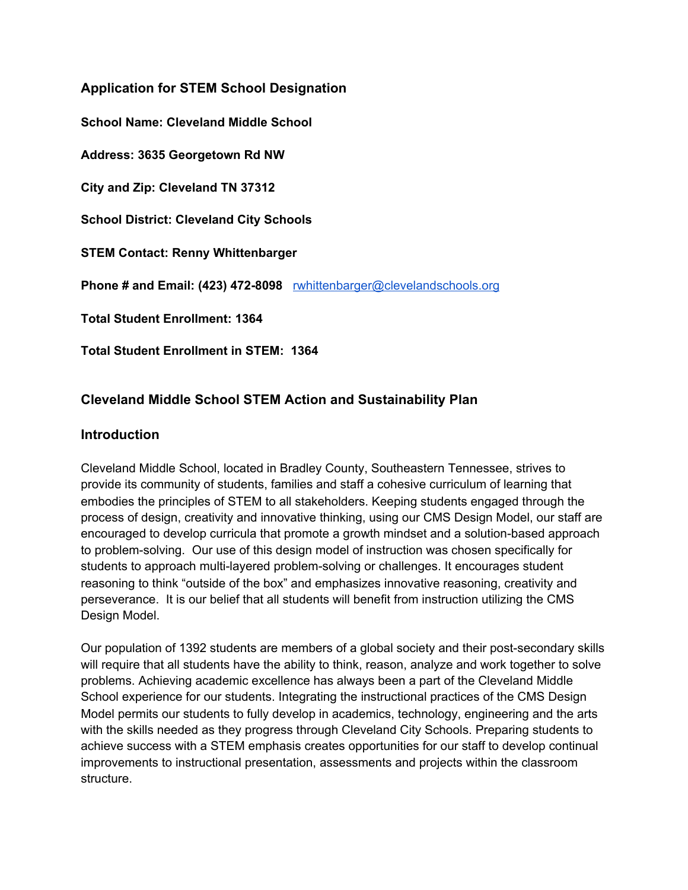**Application for STEM School Designation School Name: Cleveland Middle School Address: 3635 Georgetown Rd NW City and Zip: Cleveland TN 37312 School District: Cleveland City Schools STEM Contact: Renny Whittenbarger Phone # and Email: (423) 472-8098** [rwhittenbarger@clevelandschools.org](mailto:rwhittenbarger@clevelandschools.org) **Total Student Enrollment: 1364 Total Student Enrollment in STEM: 1364**

# **Cleveland Middle School STEM Action and Sustainability Plan**

# **Introduction**

Cleveland Middle School, located in Bradley County, Southeastern Tennessee, strives to provide its community of students, families and staff a cohesive curriculum of learning that embodies the principles of STEM to all stakeholders. Keeping students engaged through the process of design, creativity and innovative thinking, using our CMS Design Model, our staff are encouraged to develop curricula that promote a growth mindset and a solution-based approach to problem-solving. Our use of this design model of instruction was chosen specifically for students to approach multi-layered problem-solving or challenges. It encourages student reasoning to think "outside of the box" and emphasizes innovative reasoning, creativity and perseverance. It is our belief that all students will benefit from instruction utilizing the CMS Design Model.

Our population of 1392 students are members of a global society and their post-secondary skills will require that all students have the ability to think, reason, analyze and work together to solve problems. Achieving academic excellence has always been a part of the Cleveland Middle School experience for our students. Integrating the instructional practices of the CMS Design Model permits our students to fully develop in academics, technology, engineering and the arts with the skills needed as they progress through Cleveland City Schools. Preparing students to achieve success with a STEM emphasis creates opportunities for our staff to develop continual improvements to instructional presentation, assessments and projects within the classroom structure.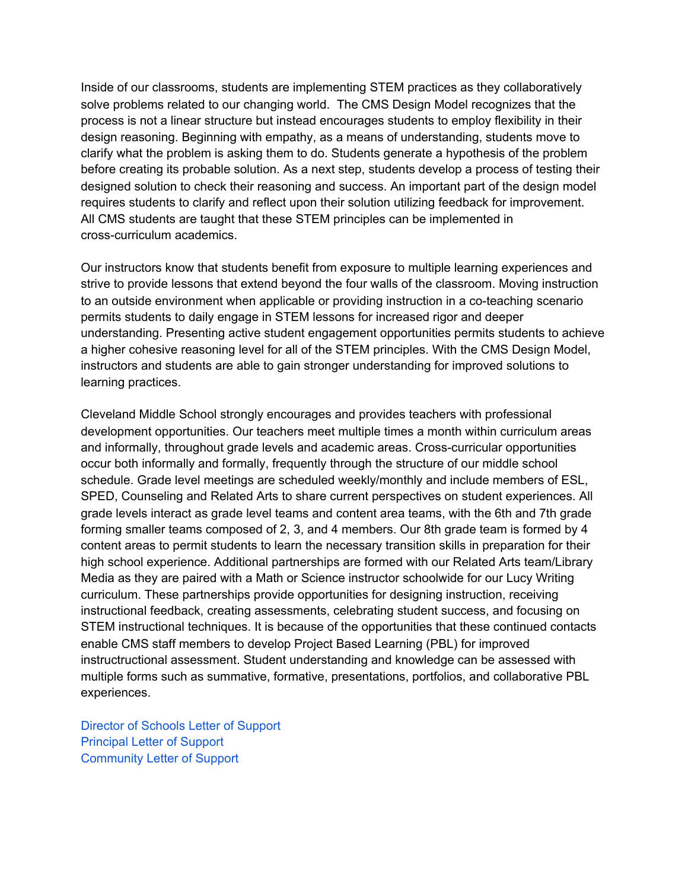Inside of our classrooms, students are implementing STEM practices as they collaboratively solve problems related to our changing world. The CMS Design Model recognizes that the process is not a linear structure but instead encourages students to employ flexibility in their design reasoning. Beginning with empathy, as a means of understanding, students move to clarify what the problem is asking them to do. Students generate a hypothesis of the problem before creating its probable solution. As a next step, students develop a process of testing their designed solution to check their reasoning and success. An important part of the design model requires students to clarify and reflect upon their solution utilizing feedback for improvement. All CMS students are taught that these STEM principles can be implemented in cross-curriculum academics.

Our instructors know that students benefit from exposure to multiple learning experiences and strive to provide lessons that extend beyond the four walls of the classroom. Moving instruction to an outside environment when applicable or providing instruction in a co-teaching scenario permits students to daily engage in STEM lessons for increased rigor and deeper understanding. Presenting active student engagement opportunities permits students to achieve a higher cohesive reasoning level for all of the STEM principles. With the CMS Design Model, instructors and students are able to gain stronger understanding for improved solutions to learning practices.

Cleveland Middle School strongly encourages and provides teachers with professional development opportunities. Our teachers meet multiple times a month within curriculum areas and informally, throughout grade levels and academic areas. Cross-curricular opportunities occur both informally and formally, frequently through the structure of our middle school schedule. Grade level meetings are scheduled weekly/monthly and include members of ESL, SPED, Counseling and Related Arts to share current perspectives on student experiences. All grade levels interact as grade level teams and content area teams, with the 6th and 7th grade forming smaller teams composed of 2, 3, and 4 members. Our 8th grade team is formed by 4 content areas to permit students to learn the necessary transition skills in preparation for their high school experience. Additional partnerships are formed with our Related Arts team/Library Media as they are paired with a Math or Science instructor schoolwide for our Lucy Writing curriculum. These partnerships provide opportunities for designing instruction, receiving instructional feedback, creating assessments, celebrating student success, and focusing on STEM instructional techniques. It is because of the opportunities that these continued contacts enable CMS staff members to develop Project Based Learning (PBL) for improved instructructional assessment. Student understanding and knowledge can be assessed with multiple forms such as summative, formative, presentations, portfolios, and collaborative PBL experiences.

Director of [Schools](https://2212251b-a6fc-4dbb-88de-94bcbd27cb94.filesusr.com/ugd/2b7659_7856fac8128e46a9970b10ab69421f6e.pdf) Letter of Support [Principal](https://2212251b-a6fc-4dbb-88de-94bcbd27cb94.filesusr.com/ugd/2b7659_2f8f8719c09249b68f67a2f36eab4b93.pdf) Letter of Support [Community](https://2212251b-a6fc-4dbb-88de-94bcbd27cb94.filesusr.com/ugd/2b7659_b9dd2ddac264422b98dd598ed48d8178.pdf) Letter of Support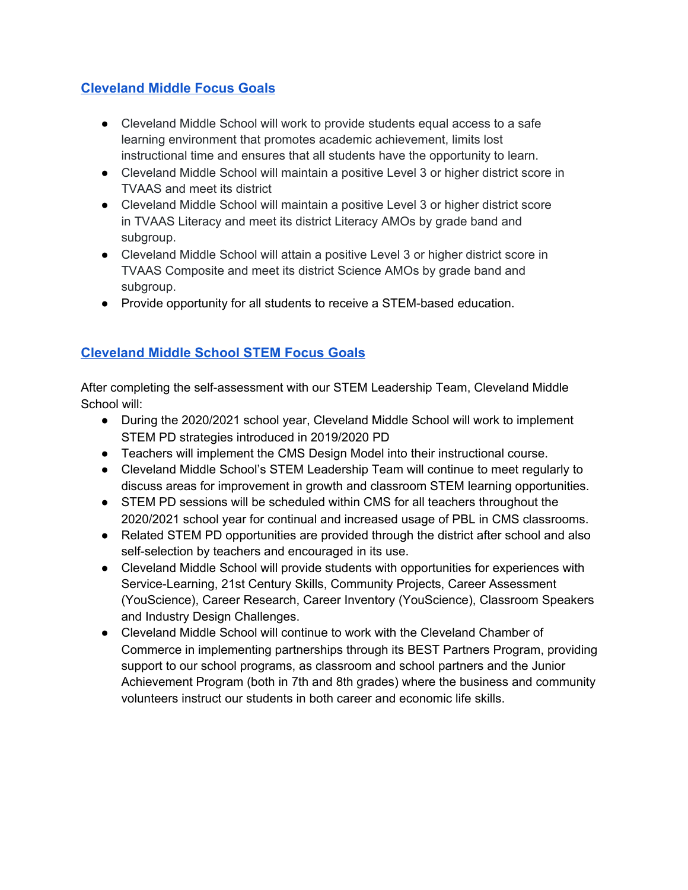# **[Cleveland Middle Focus Goals](https://2212251b-a6fc-4dbb-88de-94bcbd27cb94.filesusr.com/ugd/2b7659_a1358f45218b40be9e4dbb3dfdae6e29.pdf)**

- Cleveland Middle School will work to provide students equal access to a safe learning environment that promotes academic achievement, limits lost instructional time and ensures that all students have the opportunity to learn.
- Cleveland Middle School will maintain a positive Level 3 or higher district score in TVAAS and meet its district
- Cleveland Middle School will maintain a positive Level 3 or higher district score in TVAAS Literacy and meet its district Literacy AMOs by grade band and subgroup.
- Cleveland Middle School will attain a positive Level 3 or higher district score in TVAAS Composite and meet its district Science AMOs by grade band and subgroup.
- Provide opportunity for all students to receive a STEM-based education.

# **[Cleveland Middle School STEM Focus Goals](https://2212251b-a6fc-4dbb-88de-94bcbd27cb94.filesusr.com/ugd/2b7659_987bf6bbed4644f89a1cb7a652c04ff7.pdf)**

After completing the self-assessment with our STEM Leadership Team, Cleveland Middle School will:

- During the 2020/2021 school year, Cleveland Middle School will work to implement STEM PD strategies introduced in 2019/2020 PD
- Teachers will implement the CMS Design Model into their instructional course.
- Cleveland Middle School's STEM Leadership Team will continue to meet regularly to discuss areas for improvement in growth and classroom STEM learning opportunities.
- STEM PD sessions will be scheduled within CMS for all teachers throughout the 2020/2021 school year for continual and increased usage of PBL in CMS classrooms.
- Related STEM PD opportunities are provided through the district after school and also self-selection by teachers and encouraged in its use.
- Cleveland Middle School will provide students with opportunities for experiences with Service-Learning, 21st Century Skills, Community Projects, Career Assessment (YouScience), Career Research, Career Inventory (YouScience), Classroom Speakers and Industry Design Challenges.
- Cleveland Middle School will continue to work with the Cleveland Chamber of Commerce in implementing partnerships through its BEST Partners Program, providing support to our school programs, as classroom and school partners and the Junior Achievement Program (both in 7th and 8th grades) where the business and community volunteers instruct our students in both career and economic life skills.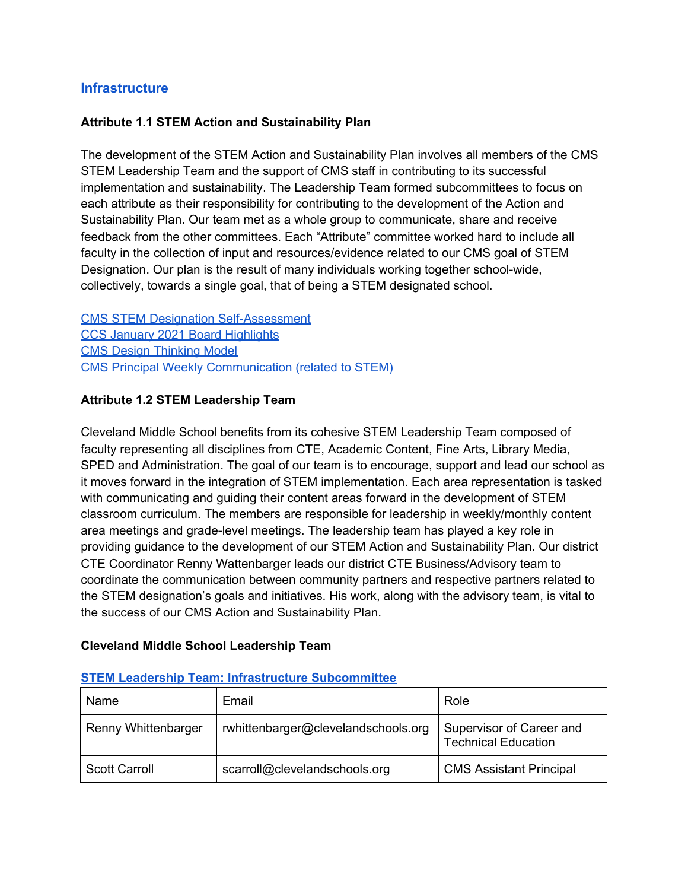# **[Infrastructure](https://www.cmssteam.com/infrastucture)**

### **Attribute 1.1 STEM Action and Sustainability Plan**

The development of the STEM Action and Sustainability Plan involves all members of the CMS STEM Leadership Team and the support of CMS staff in contributing to its successful implementation and sustainability. The Leadership Team formed subcommittees to focus on each attribute as their responsibility for contributing to the development of the Action and Sustainability Plan. Our team met as a whole group to communicate, share and receive feedback from the other committees. Each "Attribute" committee worked hard to include all faculty in the collection of input and resources/evidence related to our CMS goal of STEM Designation. Our plan is the result of many individuals working together school-wide, collectively, towards a single goal, that of being a STEM designated school.

CMS STEM Designation [Self-Assessment](https://2212251b-a6fc-4dbb-88de-94bcbd27cb94.filesusr.com/ugd/2b7659_6d26aa69261641928972a8757de808b3.docx?dn=CMS%20STEM%20School%20Designation%20Self-Assessm) CCS January 2021 Board [Highlights](https://2212251b-a6fc-4dbb-88de-94bcbd27cb94.filesusr.com/ugd/2b7659_b0dbcea04c7045cfbcd3e387eecabfaf.pdf) CMS Design [Thinking](https://www.cmssteam.com/cms-s-t-e-a-m-design-model) Model CMS Principal Weekly [Communication](https://www.smore.com/1gbp8-cms-this-week) (related to STEM)

### **Attribute 1.2 STEM Leadership Team**

Cleveland Middle School benefits from its cohesive STEM Leadership Team composed of faculty representing all disciplines from CTE, Academic Content, Fine Arts, Library Media, SPED and Administration. The goal of our team is to encourage, support and lead our school as it moves forward in the integration of STEM implementation. Each area representation is tasked with communicating and guiding their content areas forward in the development of STEM classroom curriculum. The members are responsible for leadership in weekly/monthly content area meetings and grade-level meetings. The leadership team has played a key role in providing guidance to the development of our STEM Action and Sustainability Plan. Our district CTE Coordinator Renny Wattenbarger leads our district CTE Business/Advisory team to coordinate the communication between community partners and respective partners related to the STEM designation's goals and initiatives. His work, along with the advisory team, is vital to the success of our CMS Action and Sustainability Plan.

# **Cleveland Middle School Leadership Team**

| Name                 | Email                               | Role                                                   |
|----------------------|-------------------------------------|--------------------------------------------------------|
| Renny Whittenbarger  | rwhittenbarger@clevelandschools.org | Supervisor of Career and<br><b>Technical Education</b> |
| <b>Scott Carroll</b> | scarroll@clevelandschools.org       | <b>CMS Assistant Principal</b>                         |

#### **STEM Leadership Team: Infrastructure [Subcommittee](https://2212251b-a6fc-4dbb-88de-94bcbd27cb94.filesusr.com/ugd/2b7659_839f06903dc64a65931630f4aeb2e89f.pdf)**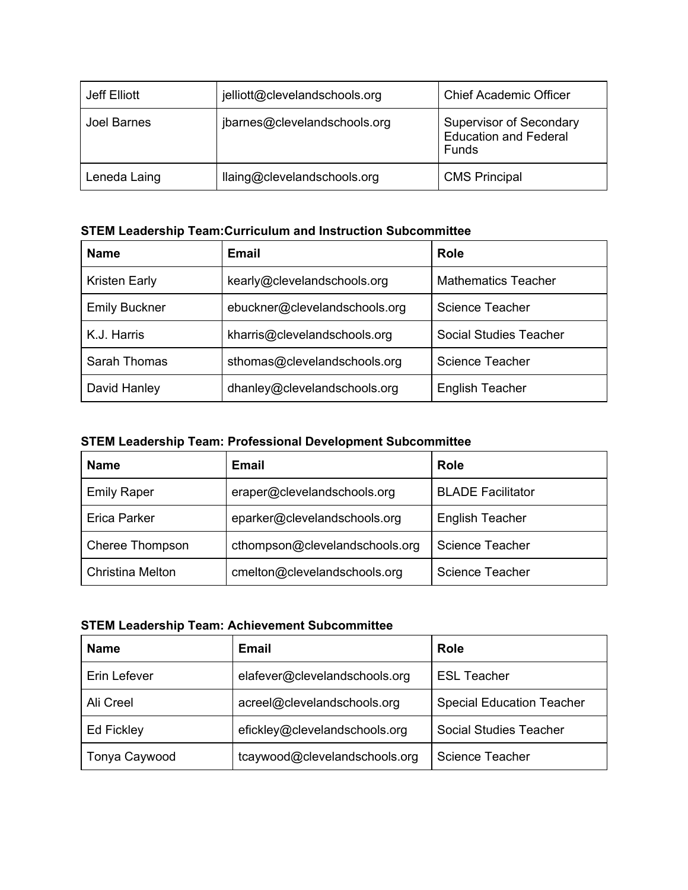| Jeff Elliott       | jelliott@clevelandschools.org | <b>Chief Academic Officer</b>                                           |
|--------------------|-------------------------------|-------------------------------------------------------------------------|
| <b>Joel Barnes</b> | jbarnes@clevelandschools.org  | <b>Supervisor of Secondary</b><br><b>Education and Federal</b><br>Funds |
| Leneda Laing       | llaing@clevelandschools.org   | <b>CMS Principal</b>                                                    |

# **STEM Leadership Team:Curriculum and Instruction Subcommittee**

| <b>Name</b>          | Email                         | Role                          |  |
|----------------------|-------------------------------|-------------------------------|--|
| <b>Kristen Early</b> | kearly@clevelandschools.org   | <b>Mathematics Teacher</b>    |  |
| <b>Emily Buckner</b> | ebuckner@clevelandschools.org | <b>Science Teacher</b>        |  |
| K.J. Harris          | kharris@clevelandschools.org  | <b>Social Studies Teacher</b> |  |
| Sarah Thomas         | sthomas@clevelandschools.org  | <b>Science Teacher</b>        |  |
| David Hanley         | dhanley@clevelandschools.org  | <b>English Teacher</b>        |  |

# **STEM Leadership Team: Professional Development Subcommittee**

| <b>Name</b>             | Email                          | <b>Role</b>              |
|-------------------------|--------------------------------|--------------------------|
| <b>Emily Raper</b>      | eraper@clevelandschools.org    | <b>BLADE Facilitator</b> |
| <b>Erica Parker</b>     | eparker@clevelandschools.org   | <b>English Teacher</b>   |
| Cheree Thompson         | cthompson@clevelandschools.org | <b>Science Teacher</b>   |
| <b>Christina Melton</b> | cmelton@clevelandschools.org   | <b>Science Teacher</b>   |

### **STEM Leadership Team: Achievement Subcommittee**

| <b>Name</b>   | <b>Email</b>                  | <b>Role</b>                      |
|---------------|-------------------------------|----------------------------------|
| Erin Lefever  | elafever@clevelandschools.org | <b>ESL Teacher</b>               |
| Ali Creel     | acreel@clevelandschools.org   | <b>Special Education Teacher</b> |
| Ed Fickley    | efickley@clevelandschools.org | <b>Social Studies Teacher</b>    |
| Tonya Caywood | tcaywood@clevelandschools.org | <b>Science Teacher</b>           |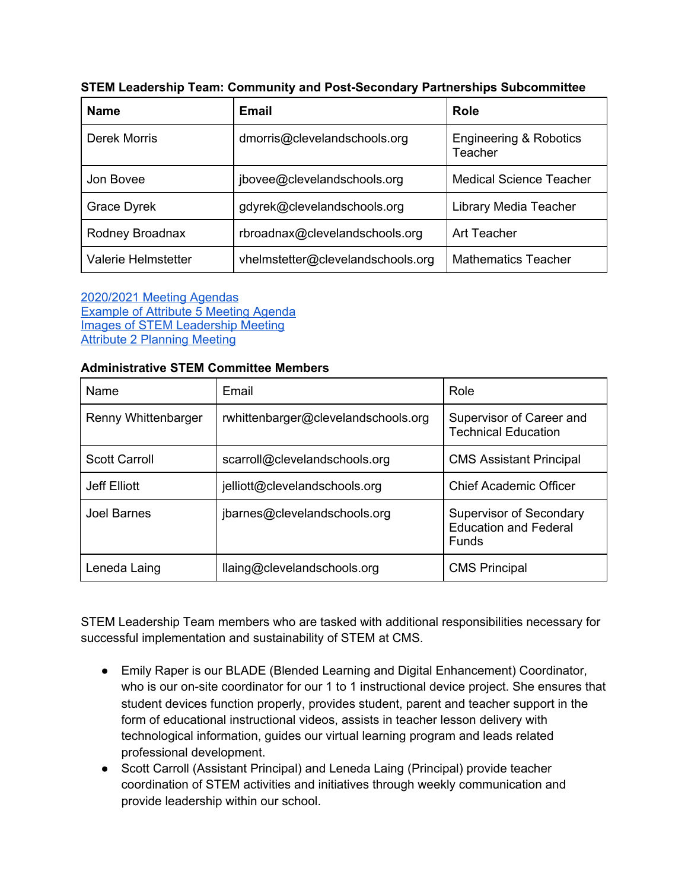| <b>Name</b>         | <b>Email</b>                      | <b>Role</b>                                  |
|---------------------|-----------------------------------|----------------------------------------------|
| Derek Morris        | dmorris@clevelandschools.org      | <b>Engineering &amp; Robotics</b><br>Teacher |
| Jon Bovee           | jbovee@clevelandschools.org       | <b>Medical Science Teacher</b>               |
| <b>Grace Dyrek</b>  | gdyrek@clevelandschools.org       | Library Media Teacher                        |
| Rodney Broadnax     | rbroadnax@clevelandschools.org    | Art Teacher                                  |
| Valerie Helmstetter | vhelmstetter@clevelandschools.org | <b>Mathematics Teacher</b>                   |

|  | <b>STEM Leadership Team: Community and Post-Secondary Partnerships Subcommittee</b> |  |
|--|-------------------------------------------------------------------------------------|--|
|  |                                                                                     |  |

[2020/2021](https://2212251b-a6fc-4dbb-88de-94bcbd27cb94.filesusr.com/ugd/2b7659_a9cb1fa178ab476691a8595d1eb78d5b.pdf) Meeting Agendas [Example](https://2212251b-a6fc-4dbb-88de-94bcbd27cb94.filesusr.com/ugd/2b7659_31ae08c4045a4b378e5237f6123fb7de.pdf) of Attribute 5 Meeting Agenda Images of STEM [Leadership](https://www.cmssteam.com/infrastucture) Meeting Attribute 2 [Planning](https://docs.google.com/presentation/d/12moxOvLpxr2xWxoqfdzqEY5kdXrNSFNk1AUl6tH-qW8/edit#slide=id.p) Meeting

#### **Administrative STEM Committee Members**

| Name                 | Email                               | Role                                                                           |
|----------------------|-------------------------------------|--------------------------------------------------------------------------------|
| Renny Whittenbarger  | rwhittenbarger@clevelandschools.org | Supervisor of Career and<br><b>Technical Education</b>                         |
| <b>Scott Carroll</b> | scarroll@clevelandschools.org       | <b>CMS Assistant Principal</b>                                                 |
| Jeff Elliott         | jelliott@clevelandschools.org       | <b>Chief Academic Officer</b>                                                  |
| Joel Barnes          | jbarnes@clevelandschools.org        | <b>Supervisor of Secondary</b><br><b>Education and Federal</b><br><b>Funds</b> |
| Leneda Laing         | llaing@clevelandschools.org         | <b>CMS Principal</b>                                                           |

STEM Leadership Team members who are tasked with additional responsibilities necessary for successful implementation and sustainability of STEM at CMS.

- Emily Raper is our BLADE (Blended Learning and Digital Enhancement) Coordinator, who is our on-site coordinator for our 1 to 1 instructional device project. She ensures that student devices function properly, provides student, parent and teacher support in the form of educational instructional videos, assists in teacher lesson delivery with technological information, guides our virtual learning program and leads related professional development.
- Scott Carroll (Assistant Principal) and Leneda Laing (Principal) provide teacher coordination of STEM activities and initiatives through weekly communication and provide leadership within our school.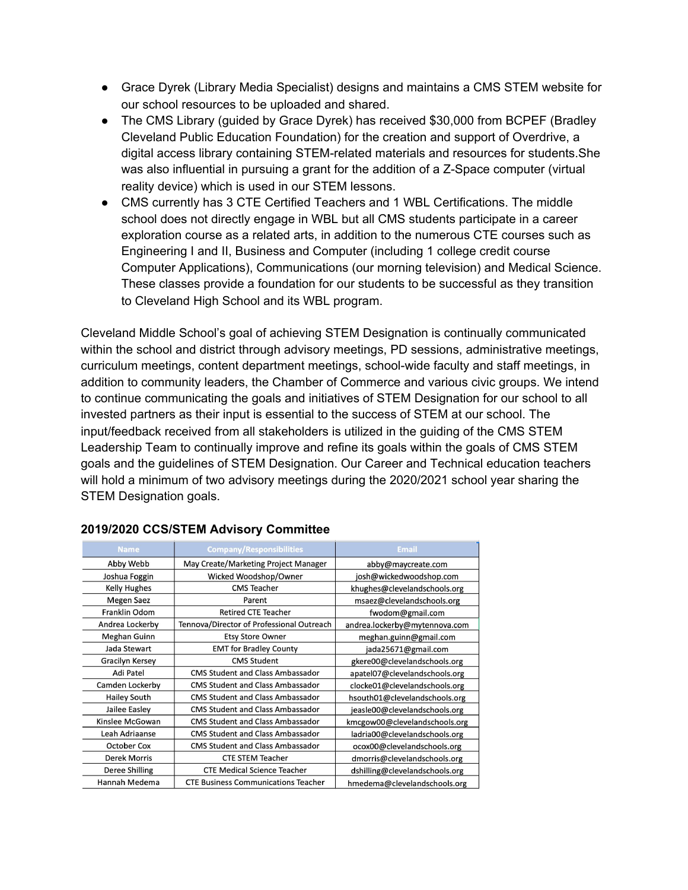- Grace Dyrek (Library Media Specialist) designs and maintains a CMS STEM website for our school resources to be uploaded and shared.
- The CMS Library (quided by Grace Dyrek) has received \$30,000 from BCPEF (Bradley Cleveland Public Education Foundation) for the creation and support of Overdrive, a digital access library containing STEM-related materials and resources for students.She was also influential in pursuing a grant for the addition of a Z-Space computer (virtual reality device) which is used in our STEM lessons.
- CMS currently has 3 CTE Certified Teachers and 1 WBL Certifications. The middle school does not directly engage in WBL but all CMS students participate in a career exploration course as a related arts, in addition to the numerous CTE courses such as Engineering I and II, Business and Computer (including 1 college credit course Computer Applications), Communications (our morning television) and Medical Science. These classes provide a foundation for our students to be successful as they transition to Cleveland High School and its WBL program.

Cleveland Middle School's goal of achieving STEM Designation is continually communicated within the school and district through advisory meetings, PD sessions, administrative meetings, curriculum meetings, content department meetings, school-wide faculty and staff meetings, in addition to community leaders, the Chamber of Commerce and various civic groups. We intend to continue communicating the goals and initiatives of STEM Designation for our school to all invested partners as their input is essential to the success of STEM at our school. The input/feedback received from all stakeholders is utilized in the guiding of the CMS STEM Leadership Team to continually improve and refine its goals within the goals of CMS STEM goals and the guidelines of STEM Designation. Our Career and Technical education teachers will hold a minimum of two advisory meetings during the 2020/2021 school year sharing the STEM Designation goals.

| <b>Name</b>            | <b>Company/Responsibilities</b>            | <b>Email</b>                   |
|------------------------|--------------------------------------------|--------------------------------|
| Abby Webb              | May Create/Marketing Project Manager       | abby@maycreate.com             |
| Joshua Foggin          | Wicked Woodshop/Owner                      | josh@wickedwoodshop.com        |
| <b>Kelly Hughes</b>    | <b>CMS Teacher</b>                         | khughes@clevelandschools.org   |
| <b>Megen Saez</b>      | Parent                                     | msaez@clevelandschools.org     |
| Franklin Odom          | <b>Retired CTE Teacher</b>                 | fwodom@gmail.com               |
| Andrea Lockerby        | Tennova/Director of Professional Outreach  | andrea.lockerby@mytennova.com  |
| Meghan Guinn           | <b>Etsy Store Owner</b>                    | meghan.guinn@gmail.com         |
| Jada Stewart           | <b>EMT for Bradley County</b>              | jada25671@gmail.com            |
| <b>Gracilyn Kersey</b> | <b>CMS Student</b>                         | gkere00@clevelandschools.org   |
| Adi Patel              | <b>CMS Student and Class Ambassador</b>    | apatel07@clevelandschools.org  |
| Camden Lockerby        | <b>CMS Student and Class Ambassador</b>    | clocke01@clevelandschools.org  |
| <b>Hailey South</b>    | <b>CMS Student and Class Ambassador</b>    | hsouth01@clevelandschools.org  |
| Jailee Easley          | <b>CMS Student and Class Ambassador</b>    | jeasle00@clevelandschools.org  |
| Kinslee McGowan        | <b>CMS Student and Class Ambassador</b>    | kmcgow00@clevelandschools.org  |
| Leah Adriaanse         | <b>CMS Student and Class Ambassador</b>    | ladria00@clevelandschools.org  |
| <b>October Cox</b>     | <b>CMS Student and Class Ambassador</b>    | ocox00@clevelandschools.org    |
| <b>Derek Morris</b>    | <b>CTE STEM Teacher</b>                    | dmorris@clevelandschools.org   |
| Deree Shilling         | <b>CTE Medical Science Teacher</b>         | dshilling@clevelandschools.org |
| Hannah Medema          | <b>CTE Business Communications Teacher</b> | hmedema@clevelandschools.org   |

#### **2019/2020 CCS/STEM Advisory Committee**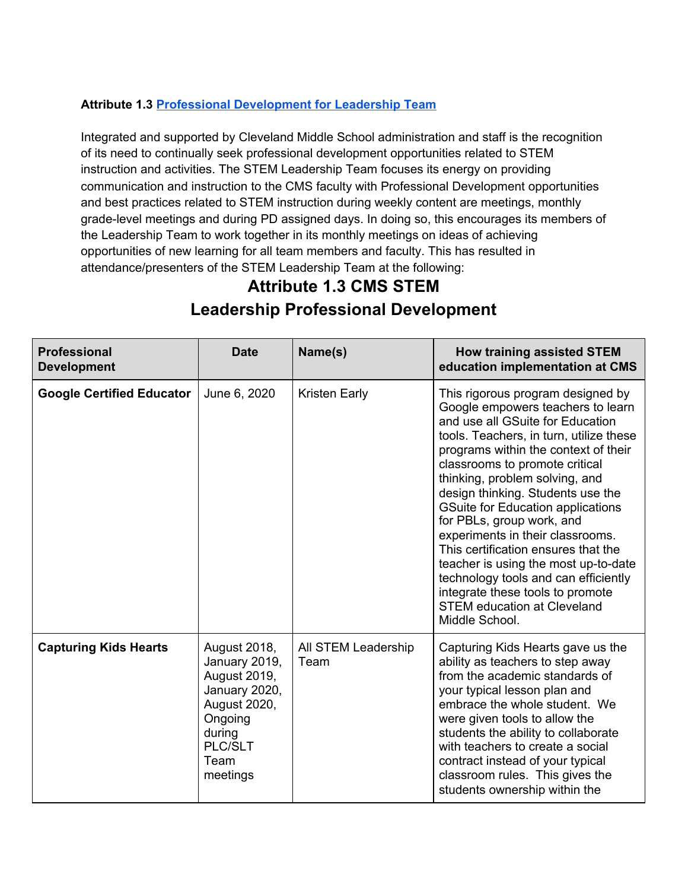# **Attribute 1.3 Professional [Development](https://2212251b-a6fc-4dbb-88de-94bcbd27cb94.filesusr.com/ugd/2b7659_c3f72122915e4a8786afa456565f1f0b.pdf) for Leadership Team**

Integrated and supported by Cleveland Middle School administration and staff is the recognition of its need to continually seek professional development opportunities related to STEM instruction and activities. The STEM Leadership Team focuses its energy on providing communication and instruction to the CMS faculty with Professional Development opportunities and best practices related to STEM instruction during weekly content are meetings, monthly grade-level meetings and during PD assigned days. In doing so, this encourages its members of the Leadership Team to work together in its monthly meetings on ideas of achieving opportunities of new learning for all team members and faculty. This has resulted in attendance/presenters of the STEM Leadership Team at the following:

# **Attribute 1.3 CMS STEM Leadership Professional Development**

| <b>Professional</b><br><b>Development</b> | <b>Date</b>                                                                                                                        | Name(s)                     | <b>How training assisted STEM</b><br>education implementation at CMS                                                                                                                                                                                                                                                                                                                                                                                                                                                                                                                                                                   |
|-------------------------------------------|------------------------------------------------------------------------------------------------------------------------------------|-----------------------------|----------------------------------------------------------------------------------------------------------------------------------------------------------------------------------------------------------------------------------------------------------------------------------------------------------------------------------------------------------------------------------------------------------------------------------------------------------------------------------------------------------------------------------------------------------------------------------------------------------------------------------------|
| <b>Google Certified Educator</b>          | June 6, 2020                                                                                                                       | <b>Kristen Early</b>        | This rigorous program designed by<br>Google empowers teachers to learn<br>and use all GSuite for Education<br>tools. Teachers, in turn, utilize these<br>programs within the context of their<br>classrooms to promote critical<br>thinking, problem solving, and<br>design thinking. Students use the<br><b>GSuite for Education applications</b><br>for PBLs, group work, and<br>experiments in their classrooms.<br>This certification ensures that the<br>teacher is using the most up-to-date<br>technology tools and can efficiently<br>integrate these tools to promote<br><b>STEM education at Cleveland</b><br>Middle School. |
| <b>Capturing Kids Hearts</b>              | August 2018,<br>January 2019,<br>August 2019,<br>January 2020,<br>August 2020,<br>Ongoing<br>during<br>PLC/SLT<br>Team<br>meetings | All STEM Leadership<br>Team | Capturing Kids Hearts gave us the<br>ability as teachers to step away<br>from the academic standards of<br>your typical lesson plan and<br>embrace the whole student. We<br>were given tools to allow the<br>students the ability to collaborate<br>with teachers to create a social<br>contract instead of your typical<br>classroom rules. This gives the<br>students ownership within the                                                                                                                                                                                                                                           |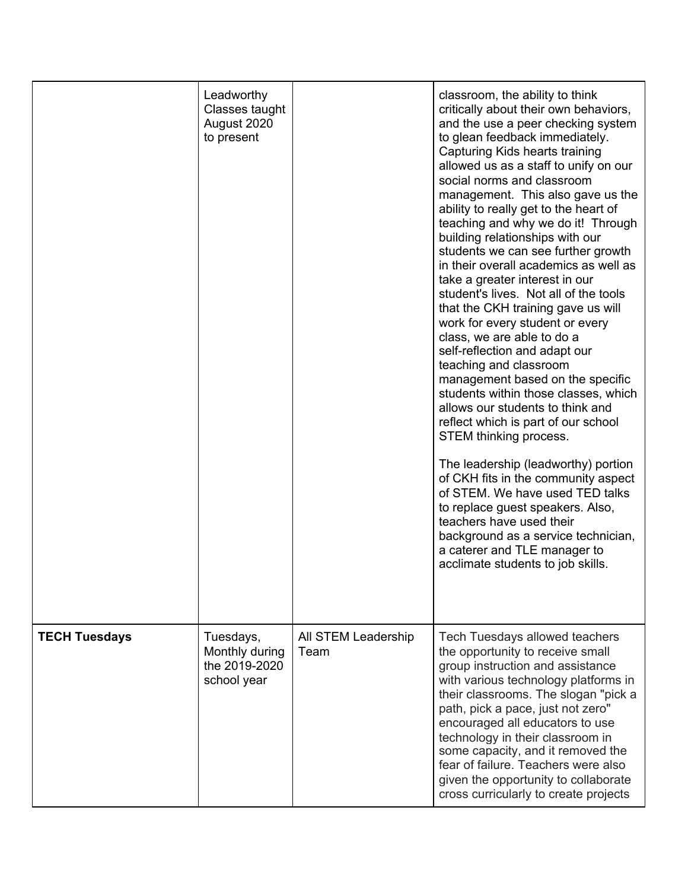|                      | Leadworthy<br>Classes taught<br>August 2020<br>to present   |                             | classroom, the ability to think<br>critically about their own behaviors,<br>and the use a peer checking system<br>to glean feedback immediately.<br>Capturing Kids hearts training<br>allowed us as a staff to unify on our<br>social norms and classroom<br>management. This also gave us the<br>ability to really get to the heart of<br>teaching and why we do it! Through<br>building relationships with our<br>students we can see further growth<br>in their overall academics as well as<br>take a greater interest in our<br>student's lives. Not all of the tools<br>that the CKH training gave us will<br>work for every student or every<br>class, we are able to do a<br>self-reflection and adapt our<br>teaching and classroom<br>management based on the specific<br>students within those classes, which<br>allows our students to think and<br>reflect which is part of our school<br>STEM thinking process.<br>The leadership (leadworthy) portion<br>of CKH fits in the community aspect<br>of STEM. We have used TED talks<br>to replace guest speakers. Also,<br>teachers have used their<br>background as a service technician,<br>a caterer and TLE manager to<br>acclimate students to job skills. |
|----------------------|-------------------------------------------------------------|-----------------------------|----------------------------------------------------------------------------------------------------------------------------------------------------------------------------------------------------------------------------------------------------------------------------------------------------------------------------------------------------------------------------------------------------------------------------------------------------------------------------------------------------------------------------------------------------------------------------------------------------------------------------------------------------------------------------------------------------------------------------------------------------------------------------------------------------------------------------------------------------------------------------------------------------------------------------------------------------------------------------------------------------------------------------------------------------------------------------------------------------------------------------------------------------------------------------------------------------------------------------|
| <b>TECH Tuesdays</b> | Tuesdays,<br>Monthly during<br>the 2019-2020<br>school year | All STEM Leadership<br>Team | <b>Tech Tuesdays allowed teachers</b><br>the opportunity to receive small<br>group instruction and assistance<br>with various technology platforms in<br>their classrooms. The slogan "pick a<br>path, pick a pace, just not zero"<br>encouraged all educators to use<br>technology in their classroom in<br>some capacity, and it removed the<br>fear of failure. Teachers were also<br>given the opportunity to collaborate<br>cross curricularly to create projects                                                                                                                                                                                                                                                                                                                                                                                                                                                                                                                                                                                                                                                                                                                                                     |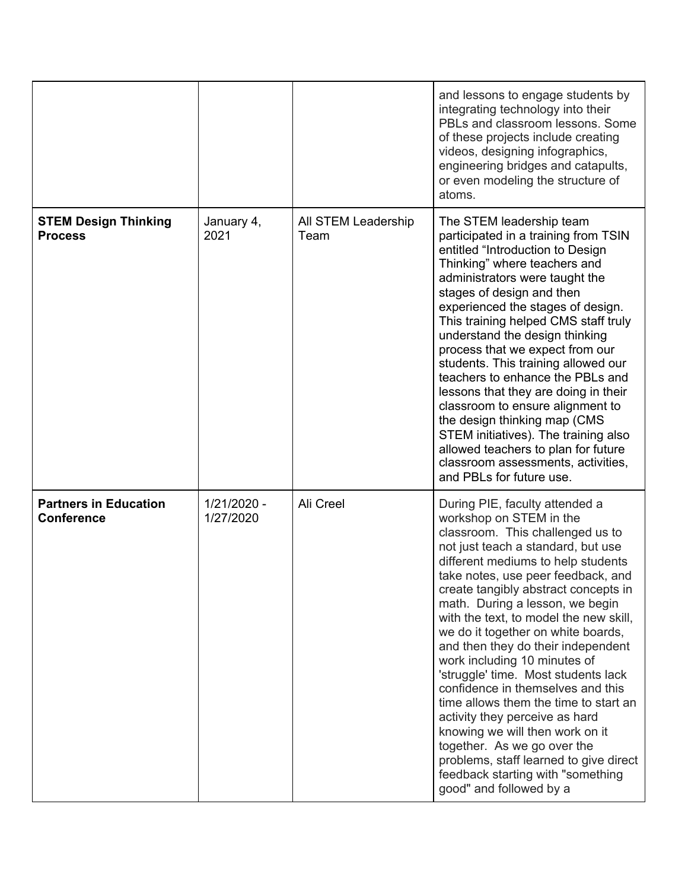|                                                   |                          |                             | and lessons to engage students by<br>integrating technology into their<br>PBLs and classroom lessons. Some<br>of these projects include creating<br>videos, designing infographics,<br>engineering bridges and catapults,<br>or even modeling the structure of<br>atoms.                                                                                                                                                                                                                                                                                                                                                                                                                                                                                                            |
|---------------------------------------------------|--------------------------|-----------------------------|-------------------------------------------------------------------------------------------------------------------------------------------------------------------------------------------------------------------------------------------------------------------------------------------------------------------------------------------------------------------------------------------------------------------------------------------------------------------------------------------------------------------------------------------------------------------------------------------------------------------------------------------------------------------------------------------------------------------------------------------------------------------------------------|
| <b>STEM Design Thinking</b><br><b>Process</b>     | January 4,<br>2021       | All STEM Leadership<br>Team | The STEM leadership team<br>participated in a training from TSIN<br>entitled "Introduction to Design<br>Thinking" where teachers and<br>administrators were taught the<br>stages of design and then<br>experienced the stages of design.<br>This training helped CMS staff truly<br>understand the design thinking<br>process that we expect from our<br>students. This training allowed our<br>teachers to enhance the PBLs and<br>lessons that they are doing in their<br>classroom to ensure alignment to<br>the design thinking map (CMS<br>STEM initiatives). The training also<br>allowed teachers to plan for future<br>classroom assessments, activities,<br>and PBLs for future use.                                                                                       |
| <b>Partners in Education</b><br><b>Conference</b> | 1/21/2020 -<br>1/27/2020 | Ali Creel                   | During PIE, faculty attended a<br>workshop on STEM in the<br>classroom. This challenged us to<br>not just teach a standard, but use<br>different mediums to help students<br>take notes, use peer feedback, and<br>create tangibly abstract concepts in<br>math. During a lesson, we begin<br>with the text, to model the new skill,<br>we do it together on white boards,<br>and then they do their independent<br>work including 10 minutes of<br>'struggle' time. Most students lack<br>confidence in themselves and this<br>time allows them the time to start an<br>activity they perceive as hard<br>knowing we will then work on it<br>together. As we go over the<br>problems, staff learned to give direct<br>feedback starting with "something<br>good" and followed by a |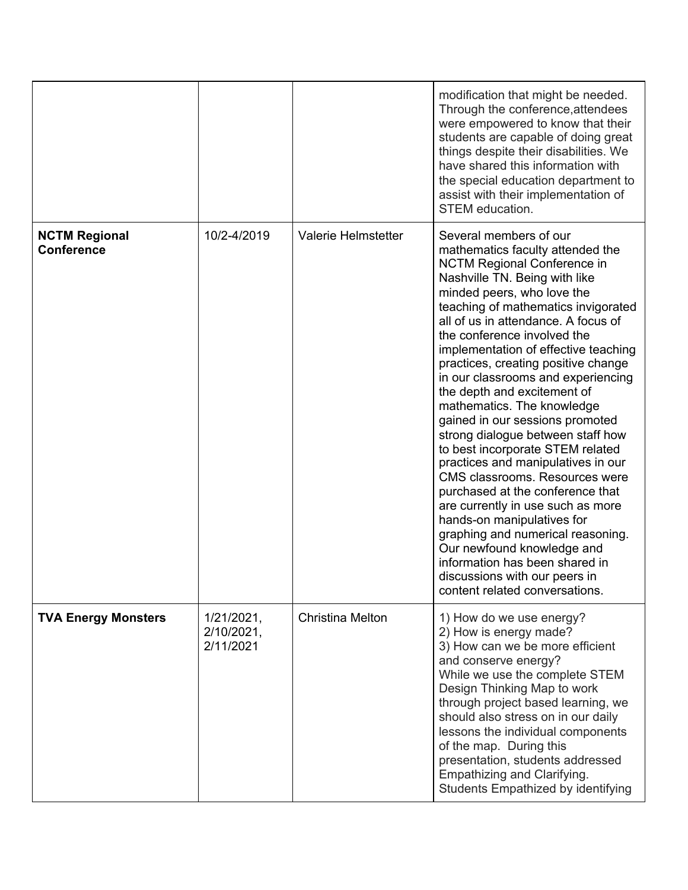|                                           |                                       |                         | modification that might be needed.<br>Through the conference, attendees<br>were empowered to know that their<br>students are capable of doing great<br>things despite their disabilities. We<br>have shared this information with<br>the special education department to<br>assist with their implementation of<br>STEM education.                                                                                                                                                                                                                                                                                                                                                                                                                                                                                                                                                                                                |
|-------------------------------------------|---------------------------------------|-------------------------|-----------------------------------------------------------------------------------------------------------------------------------------------------------------------------------------------------------------------------------------------------------------------------------------------------------------------------------------------------------------------------------------------------------------------------------------------------------------------------------------------------------------------------------------------------------------------------------------------------------------------------------------------------------------------------------------------------------------------------------------------------------------------------------------------------------------------------------------------------------------------------------------------------------------------------------|
| <b>NCTM Regional</b><br><b>Conference</b> | 10/2-4/2019                           | Valerie Helmstetter     | Several members of our<br>mathematics faculty attended the<br><b>NCTM Regional Conference in</b><br>Nashville TN. Being with like<br>minded peers, who love the<br>teaching of mathematics invigorated<br>all of us in attendance. A focus of<br>the conference involved the<br>implementation of effective teaching<br>practices, creating positive change<br>in our classrooms and experiencing<br>the depth and excitement of<br>mathematics. The knowledge<br>gained in our sessions promoted<br>strong dialogue between staff how<br>to best incorporate STEM related<br>practices and manipulatives in our<br>CMS classrooms. Resources were<br>purchased at the conference that<br>are currently in use such as more<br>hands-on manipulatives for<br>graphing and numerical reasoning.<br>Our newfound knowledge and<br>information has been shared in<br>discussions with our peers in<br>content related conversations. |
| <b>TVA Energy Monsters</b>                | 1/21/2021,<br>2/10/2021,<br>2/11/2021 | <b>Christina Melton</b> | 1) How do we use energy?<br>2) How is energy made?<br>3) How can we be more efficient<br>and conserve energy?<br>While we use the complete STEM<br>Design Thinking Map to work<br>through project based learning, we<br>should also stress on in our daily<br>lessons the individual components<br>of the map. During this<br>presentation, students addressed<br>Empathizing and Clarifying.<br>Students Empathized by identifying                                                                                                                                                                                                                                                                                                                                                                                                                                                                                               |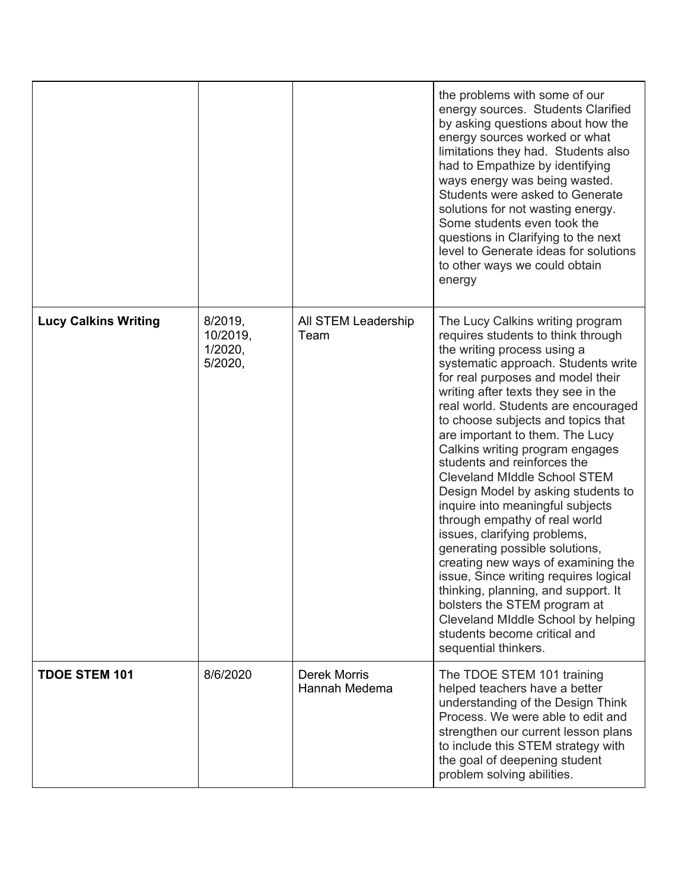|                             |                                           |                               | the problems with some of our<br>energy sources. Students Clarified<br>by asking questions about how the<br>energy sources worked or what<br>limitations they had. Students also<br>had to Empathize by identifying<br>ways energy was being wasted.<br>Students were asked to Generate<br>solutions for not wasting energy.<br>Some students even took the<br>questions in Clarifying to the next<br>level to Generate ideas for solutions<br>to other ways we could obtain<br>energy                                                                                                                                                                                                                                                                                                                                                                                             |
|-----------------------------|-------------------------------------------|-------------------------------|------------------------------------------------------------------------------------------------------------------------------------------------------------------------------------------------------------------------------------------------------------------------------------------------------------------------------------------------------------------------------------------------------------------------------------------------------------------------------------------------------------------------------------------------------------------------------------------------------------------------------------------------------------------------------------------------------------------------------------------------------------------------------------------------------------------------------------------------------------------------------------|
| <b>Lucy Calkins Writing</b> | 8/2019,<br>10/2019,<br>1/2020.<br>5/2020, | All STEM Leadership<br>Team   | The Lucy Calkins writing program<br>requires students to think through<br>the writing process using a<br>systematic approach. Students write<br>for real purposes and model their<br>writing after texts they see in the<br>real world. Students are encouraged<br>to choose subjects and topics that<br>are important to them. The Lucy<br>Calkins writing program engages<br>students and reinforces the<br><b>Cleveland Middle School STEM</b><br>Design Model by asking students to<br>inquire into meaningful subjects<br>through empathy of real world<br>issues, clarifying problems,<br>generating possible solutions,<br>creating new ways of examining the<br>issue, Since writing requires logical<br>thinking, planning, and support. It<br>bolsters the STEM program at<br>Cleveland Middle School by helping<br>students become critical and<br>sequential thinkers. |
| <b>TDOE STEM 101</b>        | 8/6/2020                                  | Derek Morris<br>Hannah Medema | The TDOE STEM 101 training<br>helped teachers have a better<br>understanding of the Design Think<br>Process. We were able to edit and<br>strengthen our current lesson plans<br>to include this STEM strategy with<br>the goal of deepening student<br>problem solving abilities.                                                                                                                                                                                                                                                                                                                                                                                                                                                                                                                                                                                                  |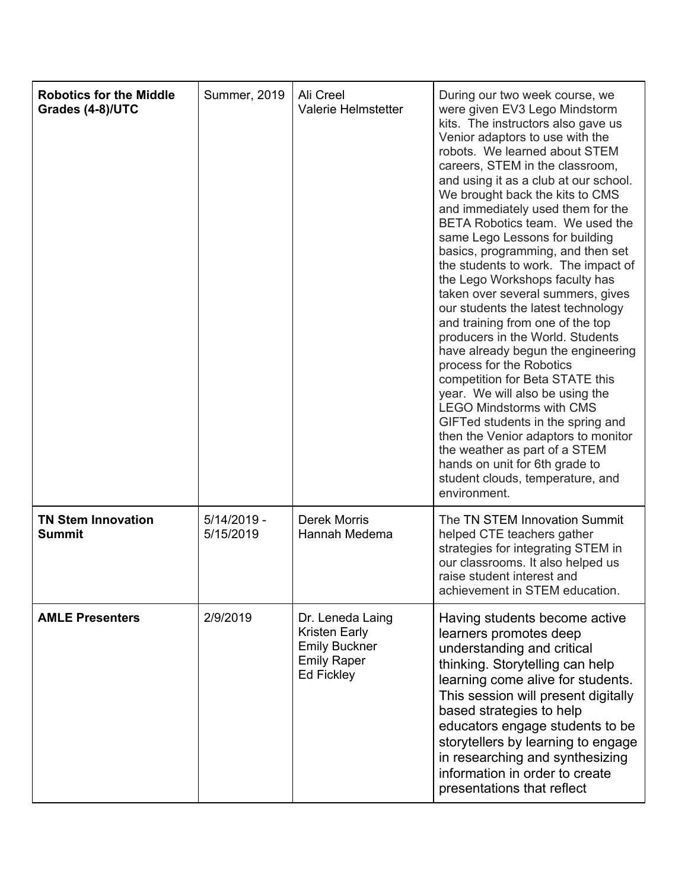| <b>Robotics for the Middle</b><br>Grades (4-8)/UTC | <b>Summer, 2019</b>        | Ali Creel<br><b>Valerie Helmstetter</b>                                                              | During our two week course, we<br>were given EV3 Lego Mindstorm<br>kits. The instructors also gave us<br>Venior adaptors to use with the<br>robots. We learned about STEM<br>careers, STEM in the classroom,<br>and using it as a club at our school.<br>We brought back the kits to CMS<br>and immediately used them for the<br>BETA Robotics team. We used the<br>same Lego Lessons for building<br>basics, programming, and then set<br>the students to work. The impact of<br>the Lego Workshops faculty has<br>taken over several summers, gives<br>our students the latest technology<br>and training from one of the top<br>producers in the World. Students<br>have already begun the engineering<br>process for the Robotics<br>competition for Beta STATE this<br>year. We will also be using the<br><b>LEGO Mindstorms with CMS</b><br>GIFTed students in the spring and<br>then the Venior adaptors to monitor<br>the weather as part of a STEM<br>hands on unit for 6th grade to<br>student clouds, temperature, and<br>environment. |
|----------------------------------------------------|----------------------------|------------------------------------------------------------------------------------------------------|---------------------------------------------------------------------------------------------------------------------------------------------------------------------------------------------------------------------------------------------------------------------------------------------------------------------------------------------------------------------------------------------------------------------------------------------------------------------------------------------------------------------------------------------------------------------------------------------------------------------------------------------------------------------------------------------------------------------------------------------------------------------------------------------------------------------------------------------------------------------------------------------------------------------------------------------------------------------------------------------------------------------------------------------------|
| <b>TN Stem Innovation</b><br><b>Summit</b>         | $5/14/2019 -$<br>5/15/2019 | <b>Derek Morris</b><br>Hannah Medema                                                                 | The TN STEM Innovation Summit<br>helped CTE teachers gather<br>strategies for integrating STEM in<br>our classrooms. It also helped us<br>raise student interest and<br>achievement in STEM education.                                                                                                                                                                                                                                                                                                                                                                                                                                                                                                                                                                                                                                                                                                                                                                                                                                            |
| <b>AMLE Presenters</b>                             | 2/9/2019                   | Dr. Leneda Laing<br>Kristen Early<br><b>Emily Buckner</b><br><b>Emily Raper</b><br><b>Ed Fickley</b> | Having students become active<br>learners promotes deep<br>understanding and critical<br>thinking. Storytelling can help<br>learning come alive for students.<br>This session will present digitally<br>based strategies to help<br>educators engage students to be<br>storytellers by learning to engage<br>in researching and synthesizing<br>information in order to create<br>presentations that reflect                                                                                                                                                                                                                                                                                                                                                                                                                                                                                                                                                                                                                                      |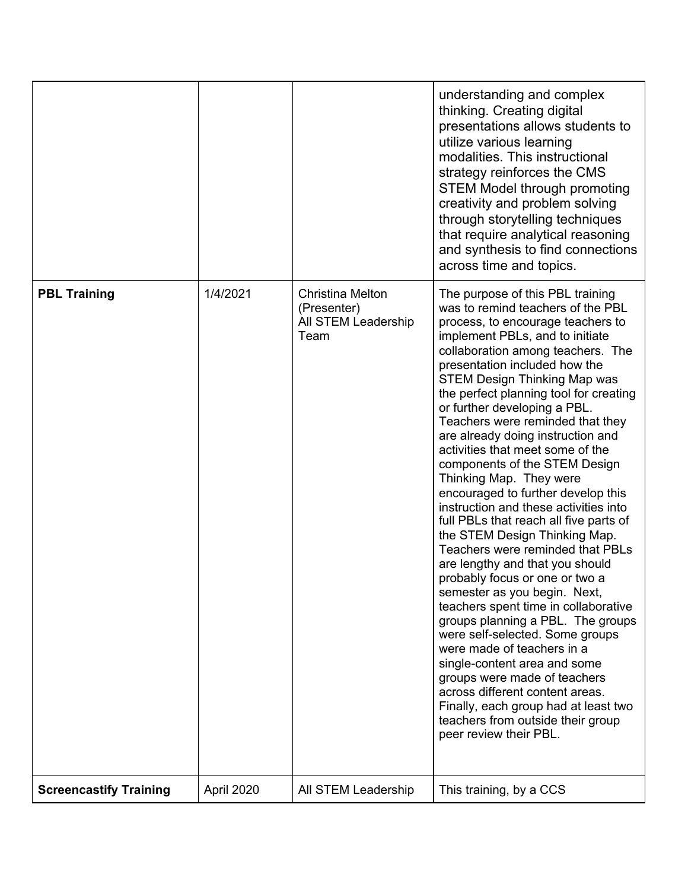|                               |            |                                                                       | understanding and complex<br>thinking. Creating digital<br>presentations allows students to<br>utilize various learning<br>modalities. This instructional<br>strategy reinforces the CMS<br><b>STEM Model through promoting</b><br>creativity and problem solving<br>through storytelling techniques<br>that require analytical reasoning<br>and synthesis to find connections<br>across time and topics.                                                                                                                                                                                                                                                                                                                                                                                                                                                                                                                                                                                                                                                                                                                                                                |
|-------------------------------|------------|-----------------------------------------------------------------------|--------------------------------------------------------------------------------------------------------------------------------------------------------------------------------------------------------------------------------------------------------------------------------------------------------------------------------------------------------------------------------------------------------------------------------------------------------------------------------------------------------------------------------------------------------------------------------------------------------------------------------------------------------------------------------------------------------------------------------------------------------------------------------------------------------------------------------------------------------------------------------------------------------------------------------------------------------------------------------------------------------------------------------------------------------------------------------------------------------------------------------------------------------------------------|
| <b>PBL Training</b>           | 1/4/2021   | <b>Christina Melton</b><br>(Presenter)<br>All STEM Leadership<br>Team | The purpose of this PBL training<br>was to remind teachers of the PBL<br>process, to encourage teachers to<br>implement PBLs, and to initiate<br>collaboration among teachers. The<br>presentation included how the<br><b>STEM Design Thinking Map was</b><br>the perfect planning tool for creating<br>or further developing a PBL.<br>Teachers were reminded that they<br>are already doing instruction and<br>activities that meet some of the<br>components of the STEM Design<br>Thinking Map. They were<br>encouraged to further develop this<br>instruction and these activities into<br>full PBLs that reach all five parts of<br>the STEM Design Thinking Map.<br>Teachers were reminded that PBLs<br>are lengthy and that you should<br>probably focus or one or two a<br>semester as you begin. Next,<br>teachers spent time in collaborative<br>groups planning a PBL. The groups<br>were self-selected. Some groups<br>were made of teachers in a<br>single-content area and some<br>groups were made of teachers<br>across different content areas.<br>Finally, each group had at least two<br>teachers from outside their group<br>peer review their PBL. |
| <b>Screencastify Training</b> | April 2020 | All STEM Leadership                                                   | This training, by a CCS                                                                                                                                                                                                                                                                                                                                                                                                                                                                                                                                                                                                                                                                                                                                                                                                                                                                                                                                                                                                                                                                                                                                                  |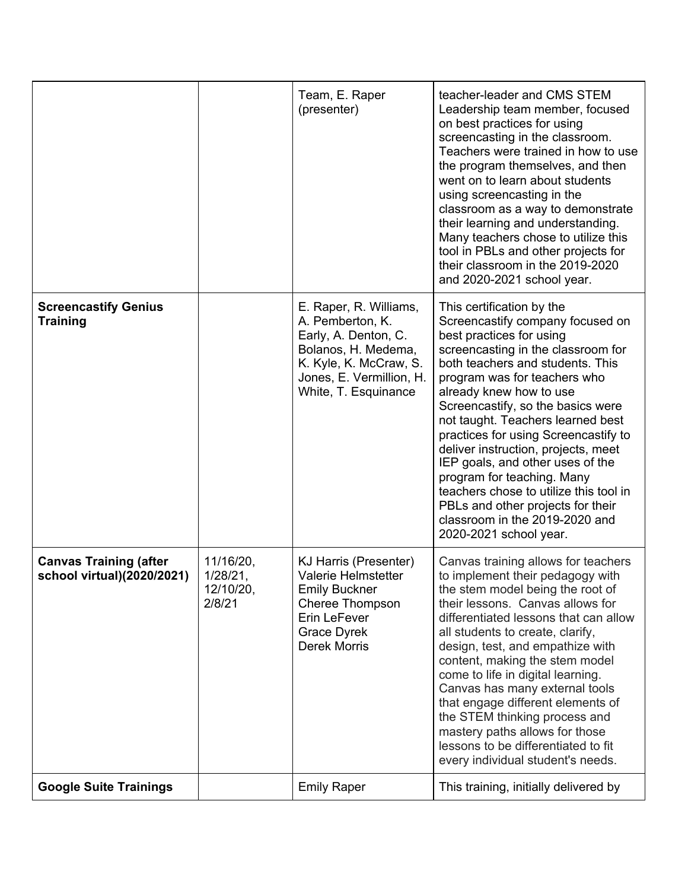|                                                             |                                              | Team, E. Raper<br>(presenter)                                                                                                                                           | teacher-leader and CMS STEM<br>Leadership team member, focused<br>on best practices for using<br>screencasting in the classroom.<br>Teachers were trained in how to use<br>the program themselves, and then<br>went on to learn about students<br>using screencasting in the<br>classroom as a way to demonstrate<br>their learning and understanding.<br>Many teachers chose to utilize this<br>tool in PBLs and other projects for<br>their classroom in the 2019-2020<br>and 2020-2021 school year.                                                                                               |
|-------------------------------------------------------------|----------------------------------------------|-------------------------------------------------------------------------------------------------------------------------------------------------------------------------|------------------------------------------------------------------------------------------------------------------------------------------------------------------------------------------------------------------------------------------------------------------------------------------------------------------------------------------------------------------------------------------------------------------------------------------------------------------------------------------------------------------------------------------------------------------------------------------------------|
| <b>Screencastify Genius</b><br><b>Training</b>              |                                              | E. Raper, R. Williams,<br>A. Pemberton, K.<br>Early, A. Denton, C.<br>Bolanos, H. Medema,<br>K. Kyle, K. McCraw, S.<br>Jones, E. Vermillion, H.<br>White, T. Esquinance | This certification by the<br>Screencastify company focused on<br>best practices for using<br>screencasting in the classroom for<br>both teachers and students. This<br>program was for teachers who<br>already knew how to use<br>Screencastify, so the basics were<br>not taught. Teachers learned best<br>practices for using Screencastify to<br>deliver instruction, projects, meet<br>IEP goals, and other uses of the<br>program for teaching. Many<br>teachers chose to utilize this tool in<br>PBLs and other projects for their<br>classroom in the 2019-2020 and<br>2020-2021 school year. |
| <b>Canvas Training (after</b><br>school virtual)(2020/2021) | 11/16/20,<br>1/28/21,<br>12/10/20,<br>2/8/21 | KJ Harris (Presenter)<br><b>Valerie Helmstetter</b><br><b>Emily Buckner</b><br>Cheree Thompson<br>Erin LeFever<br><b>Grace Dyrek</b><br><b>Derek Morris</b>             | Canvas training allows for teachers<br>to implement their pedagogy with<br>the stem model being the root of<br>their lessons. Canvas allows for<br>differentiated lessons that can allow<br>all students to create, clarify,<br>design, test, and empathize with<br>content, making the stem model<br>come to life in digital learning.<br>Canvas has many external tools<br>that engage different elements of<br>the STEM thinking process and<br>mastery paths allows for those<br>lessons to be differentiated to fit<br>every individual student's needs.                                        |
| <b>Google Suite Trainings</b>                               |                                              | <b>Emily Raper</b>                                                                                                                                                      | This training, initially delivered by                                                                                                                                                                                                                                                                                                                                                                                                                                                                                                                                                                |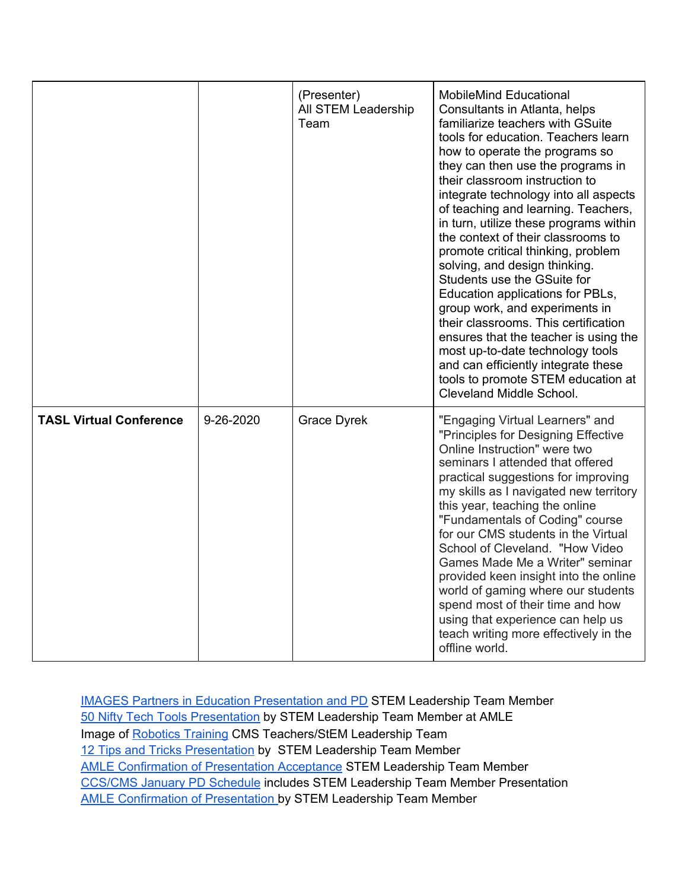|                                |           | (Presenter)<br>All STEM Leadership<br>Team | <b>MobileMind Educational</b><br>Consultants in Atlanta, helps<br>familiarize teachers with GSuite<br>tools for education. Teachers learn<br>how to operate the programs so<br>they can then use the programs in<br>their classroom instruction to<br>integrate technology into all aspects<br>of teaching and learning. Teachers,<br>in turn, utilize these programs within<br>the context of their classrooms to<br>promote critical thinking, problem<br>solving, and design thinking.<br>Students use the GSuite for<br>Education applications for PBLs,<br>group work, and experiments in<br>their classrooms. This certification<br>ensures that the teacher is using the<br>most up-to-date technology tools<br>and can efficiently integrate these<br>tools to promote STEM education at<br>Cleveland Middle School. |
|--------------------------------|-----------|--------------------------------------------|------------------------------------------------------------------------------------------------------------------------------------------------------------------------------------------------------------------------------------------------------------------------------------------------------------------------------------------------------------------------------------------------------------------------------------------------------------------------------------------------------------------------------------------------------------------------------------------------------------------------------------------------------------------------------------------------------------------------------------------------------------------------------------------------------------------------------|
| <b>TASL Virtual Conference</b> | 9-26-2020 | <b>Grace Dyrek</b>                         | "Engaging Virtual Learners" and<br>"Principles for Designing Effective<br>Online Instruction" were two<br>seminars I attended that offered<br>practical suggestions for improving<br>my skills as I navigated new territory<br>this year, teaching the online<br>"Fundamentals of Coding" course<br>for our CMS students in the Virtual<br>School of Cleveland. "How Video<br>Games Made Me a Writer" seminar<br>provided keen insight into the online<br>world of gaming where our students<br>spend most of their time and how<br>using that experience can help us<br>teach writing more effectively in the<br>offline world.                                                                                                                                                                                             |

IMAGES Partners in Education [Presentation](https://www.cmssteam.com/infrastucture) and PD STEM Leadership Team Member 50 Nifty Tech Tools [Presentation](https://docs.google.com/presentation/d/1cRp1-JTrdxzh4IYgJknfYYb0-slv_cAcy_197ZvVRko/edit#slide=id.p1) by STEM Leadership Team Member at AMLE Image of [Robotics](https://drive.google.com/drive/folders/12yqo4t5pudXhtzhZipSvJAjYWit6YUP9) Training CMS Teachers/StEM Leadership Team 12 Tips and Tricks [Presentation](https://docs.google.com/presentation/d/1Z4126f5qpv3-kZ8gFOjxs_pRDUto-uz7LFNVx7fNA88/edit#slide=id.g35f391192_00) by STEM Leadership Team Member AMLE [Confirmation](https://drive.google.com/drive/folders/12yqo4t5pudXhtzhZipSvJAjYWit6YUP9) of Presentation Acceptance STEM Leadership Team Member [CCS/CMS](https://drive.google.com/drive/folders/12yqo4t5pudXhtzhZipSvJAjYWit6YUP9) January PD Schedule includes STEM Leadership Team Member Presentation AMLE [Confirmation](https://drive.google.com/drive/folders/12yqo4t5pudXhtzhZipSvJAjYWit6YUP9) of Presentation by STEM Leadership Team Member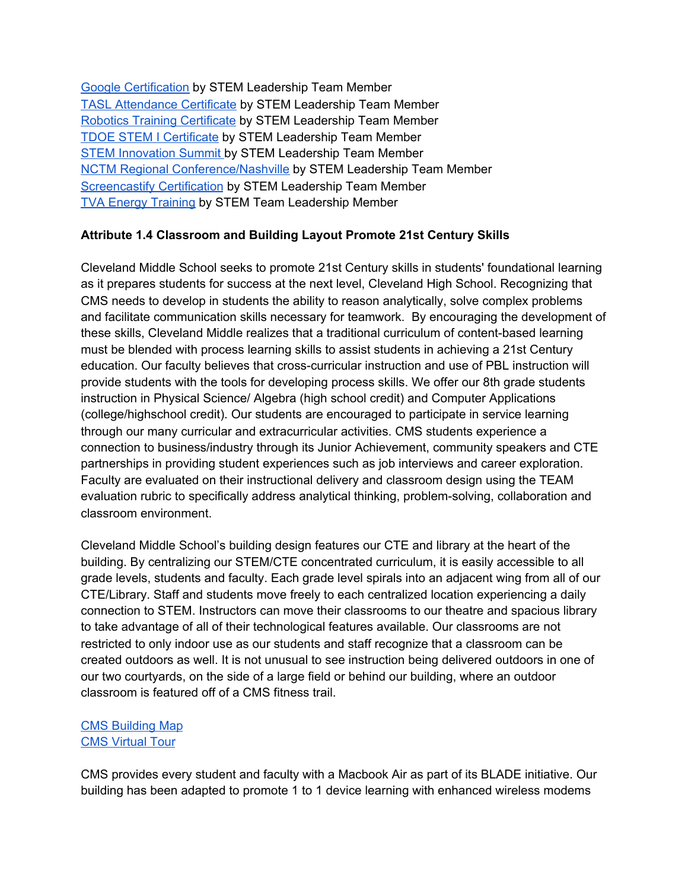Google [Certification](https://drive.google.com/drive/folders/12yqo4t5pudXhtzhZipSvJAjYWit6YUP9) by STEM Leadership Team Member TASL [Attendance](https://drive.google.com/drive/folders/12yqo4t5pudXhtzhZipSvJAjYWit6YUP9) Certificate by STEM Leadership Team Member Robotics Training [Certificate](https://drive.google.com/drive/folders/12yqo4t5pudXhtzhZipSvJAjYWit6YUP9) by STEM Leadership Team Member TDOE STEM I [Certificate](https://drive.google.com/drive/folders/12yqo4t5pudXhtzhZipSvJAjYWit6YUP9) by STEM Leadership Team Member STEM [Innovation](https://docs.google.com/document/d/1uCmgm8jqLiPoH4WB3JZEl_QwdN4WqKpbsx1cEoKMh3s/edit) Summit by STEM Leadership Team Member NCTM Regional [Conference/Nashville](https://drive.google.com/drive/folders/12yqo4t5pudXhtzhZipSvJAjYWit6YUP9) by STEM Leadership Team Member [Screencastify](https://drive.google.com/drive/folders/12yqo4t5pudXhtzhZipSvJAjYWit6YUP9) Certification by STEM Leadership Team Member TVA Energy [Training](https://drive.google.com/drive/folders/12yqo4t5pudXhtzhZipSvJAjYWit6YUP9) by STEM Team Leadership Member

# **Attribute 1.4 Classroom and Building Layout Promote 21st Century Skills**

Cleveland Middle School seeks to promote 21st Century skills in students' foundational learning as it prepares students for success at the next level, Cleveland High School. Recognizing that CMS needs to develop in students the ability to reason analytically, solve complex problems and facilitate communication skills necessary for teamwork. By encouraging the development of these skills, Cleveland Middle realizes that a traditional curriculum of content-based learning must be blended with process learning skills to assist students in achieving a 21st Century education. Our faculty believes that cross-curricular instruction and use of PBL instruction will provide students with the tools for developing process skills. We offer our 8th grade students instruction in Physical Science/ Algebra (high school credit) and Computer Applications (college/highschool credit). Our students are encouraged to participate in service learning through our many curricular and extracurricular activities. CMS students experience a connection to business/industry through its Junior Achievement, community speakers and CTE partnerships in providing student experiences such as job interviews and career exploration. Faculty are evaluated on their instructional delivery and classroom design using the TEAM evaluation rubric to specifically address analytical thinking, problem-solving, collaboration and classroom environment.

Cleveland Middle School's building design features our CTE and library at the heart of the building. By centralizing our STEM/CTE concentrated curriculum, it is easily accessible to all grade levels, students and faculty. Each grade level spirals into an adjacent wing from all of our CTE/Library. Staff and students move freely to each centralized location experiencing a daily connection to STEM. Instructors can move their classrooms to our theatre and spacious library to take advantage of all of their technological features available. Our classrooms are not restricted to only indoor use as our students and staff recognize that a classroom can be created outdoors as well. It is not unusual to see instruction being delivered outdoors in one of our two courtyards, on the side of a large field or behind our building, where an outdoor classroom is featured off of a CMS fitness trail.

### CMS [Building](https://www.cmssteam.com/map-of-c-m-s) Map CMS [Virtual](https://docs.google.com/document/d/1p3ofxqVts9fv-CGLUSNl88SDWQJxUrOTQk7E9C4p8sA/edit) Tour

CMS provides every student and faculty with a Macbook Air as part of its BLADE initiative. Our building has been adapted to promote 1 to 1 device learning with enhanced wireless modems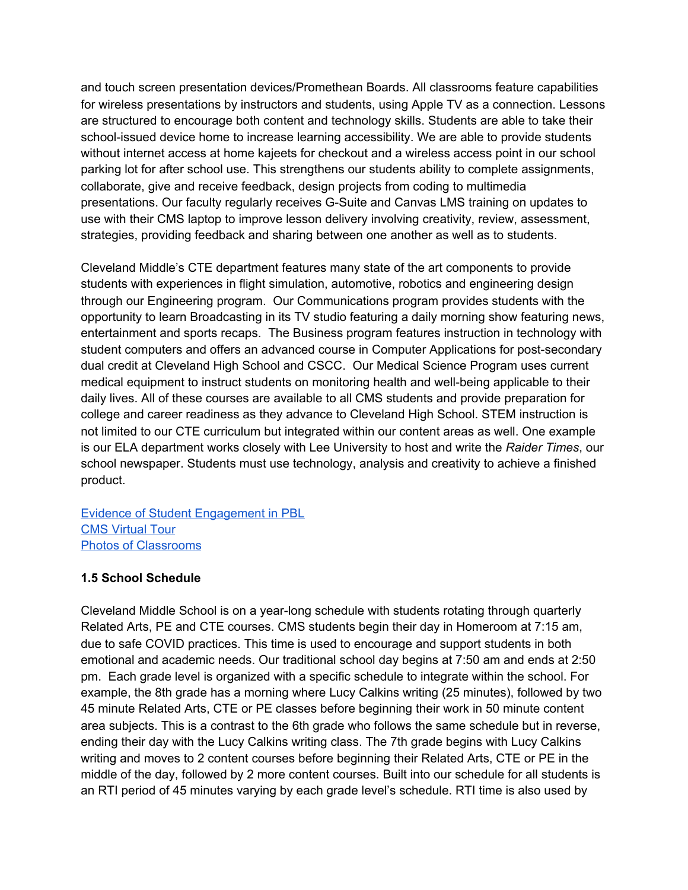and touch screen presentation devices/Promethean Boards. All classrooms feature capabilities for wireless presentations by instructors and students, using Apple TV as a connection. Lessons are structured to encourage both content and technology skills. Students are able to take their school-issued device home to increase learning accessibility. We are able to provide students without internet access at home kajeets for checkout and a wireless access point in our school parking lot for after school use. This strengthens our students ability to complete assignments, collaborate, give and receive feedback, design projects from coding to multimedia presentations. Our faculty regularly receives G-Suite and Canvas LMS training on updates to use with their CMS laptop to improve lesson delivery involving creativity, review, assessment, strategies, providing feedback and sharing between one another as well as to students.

Cleveland Middle's CTE department features many state of the art components to provide students with experiences in flight simulation, automotive, robotics and engineering design through our Engineering program. Our Communications program provides students with the opportunity to learn Broadcasting in its TV studio featuring a daily morning show featuring news, entertainment and sports recaps. The Business program features instruction in technology with student computers and offers an advanced course in Computer Applications for post-secondary dual credit at Cleveland High School and CSCC. Our Medical Science Program uses current medical equipment to instruct students on monitoring health and well-being applicable to their daily lives. All of these courses are available to all CMS students and provide preparation for college and career readiness as they advance to Cleveland High School. STEM instruction is not limited to our CTE curriculum but integrated within our content areas as well. One example is our ELA department works closely with Lee University to host and write the *Raider Times*, our school newspaper. Students must use technology, analysis and creativity to achieve a finished product.

#### Evidence of Student [Engagement](https://2212251b-a6fc-4dbb-88de-94bcbd27cb94.filesusr.com/ugd/2b7659_a4d80f625c8e42deadd1762d5c936101.pdf) in PBL CMS [Virtual](https://www.cmssteam.com/infrastucture) Tour Photos of [Classrooms](https://www.cmssteam.com/infrastucture)

# **1.5 School Schedule**

Cleveland Middle School is on a year-long schedule with students rotating through quarterly Related Arts, PE and CTE courses. CMS students begin their day in Homeroom at 7:15 am, due to safe COVID practices. This time is used to encourage and support students in both emotional and academic needs. Our traditional school day begins at 7:50 am and ends at 2:50 pm. Each grade level is organized with a specific schedule to integrate within the school. For example, the 8th grade has a morning where Lucy Calkins writing (25 minutes), followed by two 45 minute Related Arts, CTE or PE classes before beginning their work in 50 minute content area subjects. This is a contrast to the 6th grade who follows the same schedule but in reverse, ending their day with the Lucy Calkins writing class. The 7th grade begins with Lucy Calkins writing and moves to 2 content courses before beginning their Related Arts, CTE or PE in the middle of the day, followed by 2 more content courses. Built into our schedule for all students is an RTI period of 45 minutes varying by each grade level's schedule. RTI time is also used by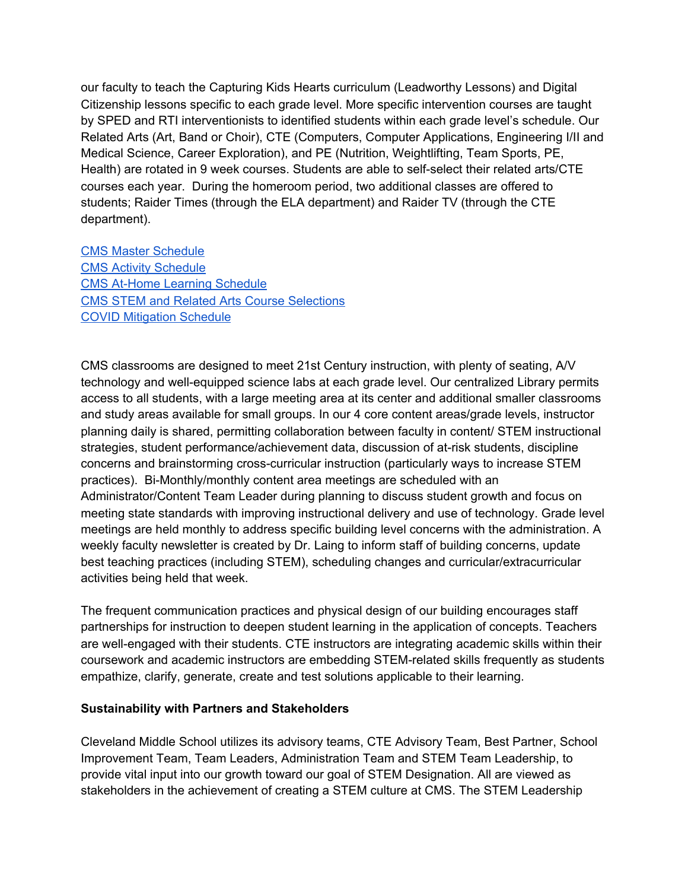our faculty to teach the Capturing Kids Hearts curriculum (Leadworthy Lessons) and Digital Citizenship lessons specific to each grade level. More specific intervention courses are taught by SPED and RTI interventionists to identified students within each grade level's schedule. Our Related Arts (Art, Band or Choir), CTE (Computers, Computer Applications, Engineering I/II and Medical Science, Career Exploration), and PE (Nutrition, Weightlifting, Team Sports, PE, Health) are rotated in 9 week courses. Students are able to self-select their related arts/CTE courses each year. During the homeroom period, two additional classes are offered to students; Raider Times (through the ELA department) and Raider TV (through the CTE department).

CMS Master [Schedule](https://2212251b-a6fc-4dbb-88de-94bcbd27cb94.filesusr.com/ugd/2b7659_61f6604dc642498a9e93b9de04381a8a.pdf) CMS Activity [Schedule](https://2212251b-a6fc-4dbb-88de-94bcbd27cb94.filesusr.com/ugd/2b7659_c0618f8a3de64359886d62e0604db4f6.pdf) CMS At-Home Learning [Schedule](https://2212251b-a6fc-4dbb-88de-94bcbd27cb94.filesusr.com/ugd/2b7659_9fcf77a7ea7b41399748da0b881dda8c.pdf) CMS STEM and Related Arts Course [Selections](https://www.cmssteam.com/infrastucture) COVID [Mitigation](https://2212251b-a6fc-4dbb-88de-94bcbd27cb94.filesusr.com/ugd/2b7659_a0c7084871614dd4a28ccb1c6895f7dc.pdf) Schedule

CMS classrooms are designed to meet 21st Century instruction, with plenty of seating, A/V technology and well-equipped science labs at each grade level. Our centralized Library permits access to all students, with a large meeting area at its center and additional smaller classrooms and study areas available for small groups. In our 4 core content areas/grade levels, instructor planning daily is shared, permitting collaboration between faculty in content/ STEM instructional strategies, student performance/achievement data, discussion of at-risk students, discipline concerns and brainstorming cross-curricular instruction (particularly ways to increase STEM practices). Bi-Monthly/monthly content area meetings are scheduled with an Administrator/Content Team Leader during planning to discuss student growth and focus on meeting state standards with improving instructional delivery and use of technology. Grade level meetings are held monthly to address specific building level concerns with the administration. A weekly faculty newsletter is created by Dr. Laing to inform staff of building concerns, update best teaching practices (including STEM), scheduling changes and curricular/extracurricular activities being held that week.

The frequent communication practices and physical design of our building encourages staff partnerships for instruction to deepen student learning in the application of concepts. Teachers are well-engaged with their students. CTE instructors are integrating academic skills within their coursework and academic instructors are embedding STEM-related skills frequently as students empathize, clarify, generate, create and test solutions applicable to their learning.

#### **Sustainability with Partners and Stakeholders**

Cleveland Middle School utilizes its advisory teams, CTE Advisory Team, Best Partner, School Improvement Team, Team Leaders, Administration Team and STEM Team Leadership, to provide vital input into our growth toward our goal of STEM Designation. All are viewed as stakeholders in the achievement of creating a STEM culture at CMS. The STEM Leadership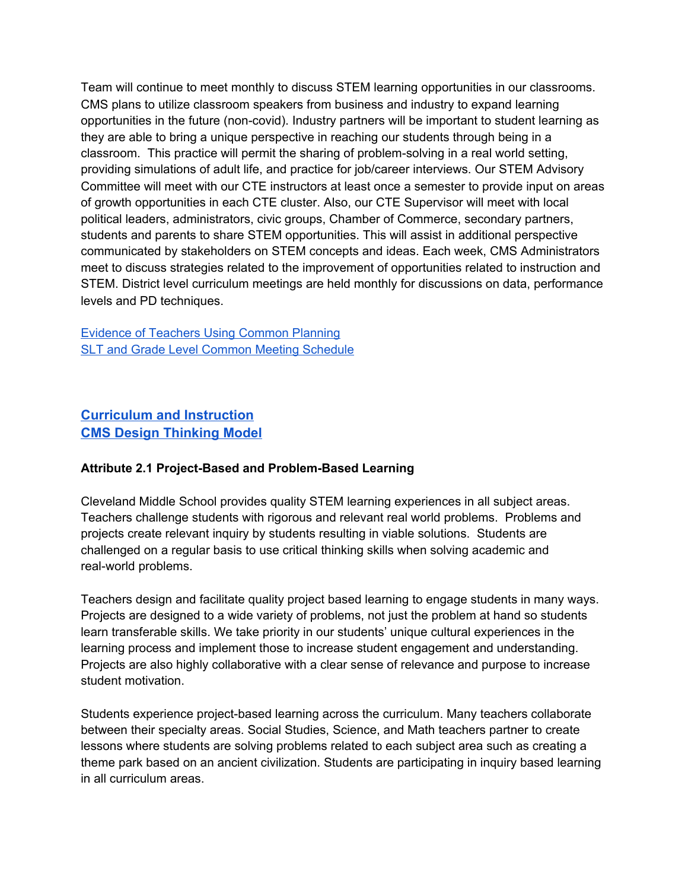Team will continue to meet monthly to discuss STEM learning opportunities in our classrooms. CMS plans to utilize classroom speakers from business and industry to expand learning opportunities in the future (non-covid). Industry partners will be important to student learning as they are able to bring a unique perspective in reaching our students through being in a classroom. This practice will permit the sharing of problem-solving in a real world setting, providing simulations of adult life, and practice for job/career interviews. Our STEM Advisory Committee will meet with our CTE instructors at least once a semester to provide input on areas of growth opportunities in each CTE cluster. Also, our CTE Supervisor will meet with local political leaders, administrators, civic groups, Chamber of Commerce, secondary partners, students and parents to share STEM opportunities. This will assist in additional perspective communicated by stakeholders on STEM concepts and ideas. Each week, CMS Administrators meet to discuss strategies related to the improvement of opportunities related to instruction and STEM. District level curriculum meetings are held monthly for discussions on data, performance levels and PD techniques.

Evidence of [Teachers](https://www.cmssteam.com/infrastucture) Using Common Planning SLT and Grade Level Common Meeting [Schedule](https://2212251b-a6fc-4dbb-88de-94bcbd27cb94.filesusr.com/ugd/2b7659_db541aa6363a4999be4edffa1c0226a9.pdf)

# **[Curriculum and Instruction](https://www.cmssteam.com/curriculum-instruction) [CMS Design Thinking Model](https://www.cmssteam.com/cms-s-t-e-a-m-design-model)**

# **Attribute 2.1 Project-Based and Problem-Based Learning**

Cleveland Middle School provides quality STEM learning experiences in all subject areas. Teachers challenge students with rigorous and relevant real world problems. Problems and projects create relevant inquiry by students resulting in viable solutions. Students are challenged on a regular basis to use critical thinking skills when solving academic and real-world problems.

Teachers design and facilitate quality project based learning to engage students in many ways. Projects are designed to a wide variety of problems, not just the problem at hand so students learn transferable skills. We take priority in our students' unique cultural experiences in the learning process and implement those to increase student engagement and understanding. Projects are also highly collaborative with a clear sense of relevance and purpose to increase student motivation.

Students experience project-based learning across the curriculum. Many teachers collaborate between their specialty areas. Social Studies, Science, and Math teachers partner to create lessons where students are solving problems related to each subject area such as creating a theme park based on an ancient civilization. Students are participating in inquiry based learning in all curriculum areas.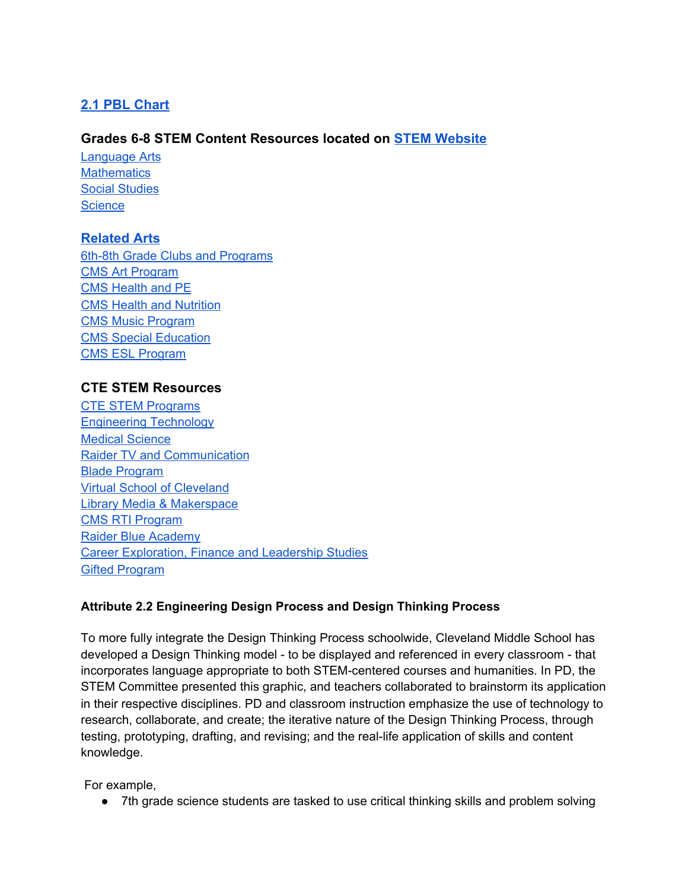# **[2.1 PBL Chart](https://docs.google.com/document/d/12voVRDJZhN9T6F3J9DvrazqZP4pnQ2qZndTRQnc3FJU/edit)**

# **Grades 6-8 STEM Content Resources located on [STEM Website](http://cmssteam.com/)**

[Language](https://www.cmssteam.com/6th-grade-language-arts-s-t-e-a-m) Arts **[Mathematics](https://www.cmssteam.com/copy-of-6th-grade-language-arts-s-t)** Social [Studies](https://www.cmssteam.com/copy-of-6th-grade-science-s-t) **[Science](https://www.cmssteam.com/copy-of-6th-grade-mathematics-s-t)** 

# **[Related Arts](https://www.cmssteam.com/copy-of-6th-grade-social-studies-s)**

6th-8th Grade Clubs and [Programs](https://www.cmssteam.com/copy-of-6th-8th-grade-related-arts) CMS Art [Program](https://www.cmssteam.com/copy-of-music-program) CMS [Health](https://www.cmssteam.com/copy-of-cms-health-nutrition-progra) and PE CMS Health and [Nutrition](https://www.cmssteam.com/copy-of-cms-art-program) CMS Music [Program](https://www.cmssteam.com/copy-of-beta-club-1) CMS Special [Education](https://www.cmssteam.com/copy-of-4-c-s-summer-academic-camp) CMS ESL [Program](https://www.cmssteam.com/copy-of-s-p-e-d-s-t-e-a-m)

# **CTE STEM Resources**

CTE STEM [Programs](https://www.cmssteam.com/copy-of-6th-8th-grade-related-arts-1) [Engineering](https://www.cmssteam.com/copy-of-lucy-writing-program-s-t) Technology Medical [Science](https://www.cmssteam.com/copy-of-engineering-technology-s-t) Raider TV and [Communication](https://www.cmssteam.com/copy-of-medical-science-s-t) Blade [Program](https://www.cmssteam.com/copy-of-r-t-i-program) Virtual School of [Cleveland](https://www.cmssteam.com/copy-of-cms-health-nutrition-progra-1) Library Media & [Makerspace](https://www.cmssteam.com/copy-of-6th-grade-language-arts-s-t-3) CMS RTI [Program](https://www.cmssteam.com/copy-of-lucy-writing-program-s-t-1) Raider Blue [Academy](https://www.cmssteam.com/copy-of-r-t-i-program-s-t-1) Career [Exploration,](https://www.cmssteam.com/copy-of-4-c-s-summer-academic-camp-1) Finance and Leadership Studies Gifted [Program](https://www.cmssteam.com/copy-of-r-t-i-program-1)

# **Attribute 2.2 Engineering Design Process and Design Thinking Process**

To more fully integrate the Design Thinking Process schoolwide, Cleveland Middle School has developed a Design Thinking model - to be displayed and referenced in every classroom - that incorporates language appropriate to both STEM-centered courses and humanities. In PD, the STEM Committee presented this graphic, and teachers collaborated to brainstorm its application in their respective disciplines. PD and classroom instruction emphasize the use of technology to research, collaborate, and create; the iterative nature of the Design Thinking Process, through testing, prototyping, drafting, and revising; and the real-life application of skills and content knowledge.

For example,

● 7th grade science students are tasked to use critical thinking skills and problem solving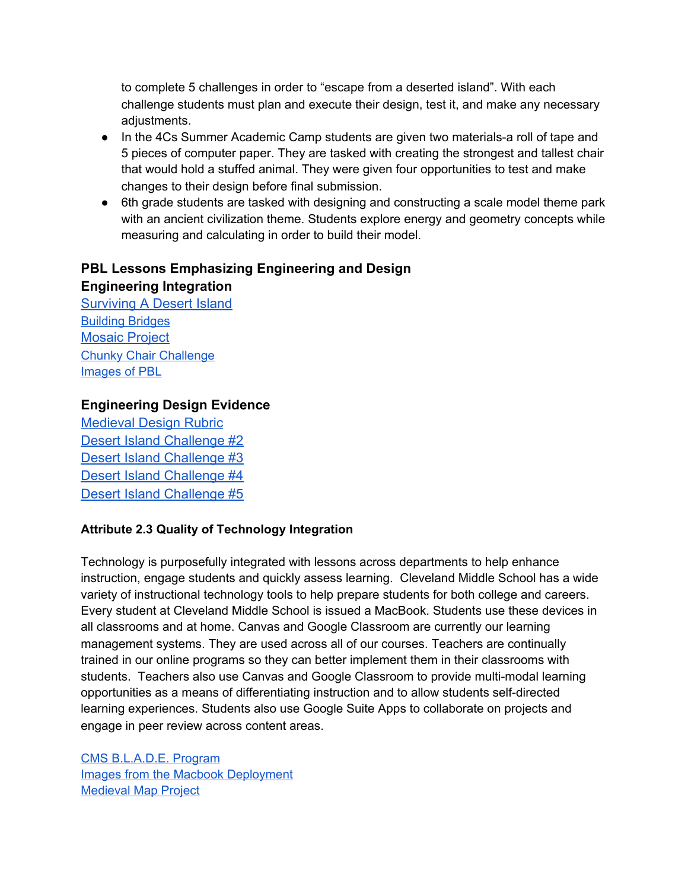to complete 5 challenges in order to "escape from a deserted island". With each challenge students must plan and execute their design, test it, and make any necessary adjustments.

- In the 4Cs Summer Academic Camp students are given two materials-a roll of tape and 5 pieces of computer paper. They are tasked with creating the strongest and tallest chair that would hold a stuffed animal. They were given four opportunities to test and make changes to their design before final submission.
- 6th grade students are tasked with designing and constructing a scale model theme park with an ancient civilization theme. Students explore energy and geometry concepts while measuring and calculating in order to build their model.

# **PBL Lessons Emphasizing Engineering and Design Engineering Integration**

[Surviving A Desert Island](https://2212251b-a6fc-4dbb-88de-94bcbd27cb94.filesusr.com/ugd/2b7659_38034f7450c74166b94da47f45aa9a7b.pdf) [Building](https://2212251b-a6fc-4dbb-88de-94bcbd27cb94.filesusr.com/ugd/2b7659_6ce2dc3684c74e8a998c42ce56684f9b.pdf) Bridges [Mosaic Project](https://2212251b-a6fc-4dbb-88de-94bcbd27cb94.filesusr.com/ugd/2b7659_f2037a1aea3b418fa273b04c7d5435c8.pdf) Chunky Chair [Challenge](https://2212251b-a6fc-4dbb-88de-94bcbd27cb94.filesusr.com/ugd/2b7659_e805129e77904d3797bfec5fe25ec393.pdf) [Images](https://www.cmssteam.com/curriculum-instruction) of PBL

# **Engineering Design Evidence**

[Medieval Design Rubric](https://2212251b-a6fc-4dbb-88de-94bcbd27cb94.filesusr.com/ugd/2b7659_3f648c0cecce47089d53cd813fdc3a9a.pdf) [Desert Island Challenge #2](https://2212251b-a6fc-4dbb-88de-94bcbd27cb94.filesusr.com/ugd/2b7659_5d046ea8661e43cd8cd805ef703980b2.pdf) [Desert Island Challenge #3](https://2212251b-a6fc-4dbb-88de-94bcbd27cb94.filesusr.com/ugd/2b7659_6af3b33407dc4b1988eac28f263f1583.pdf) [Desert Island Challenge #4](https://2212251b-a6fc-4dbb-88de-94bcbd27cb94.filesusr.com/ugd/2b7659_78e53746760e4646afdaaec93d9e5d57.pdf) [Desert Island Challenge #5](https://2212251b-a6fc-4dbb-88de-94bcbd27cb94.filesusr.com/ugd/2b7659_70d5706955a24200b5fea8491bd75b00.pdf)

# **Attribute 2.3 Quality of Technology Integration**

Technology is purposefully integrated with lessons across departments to help enhance instruction, engage students and quickly assess learning. Cleveland Middle School has a wide variety of instructional technology tools to help prepare students for both college and careers. Every student at Cleveland Middle School is issued a MacBook. Students use these devices in all classrooms and at home. Canvas and Google Classroom are currently our learning management systems. They are used across all of our courses. Teachers are continually trained in our online programs so they can better implement them in their classrooms with students. Teachers also use Canvas and Google Classroom to provide multi-modal learning opportunities as a means of differentiating instruction and to allow students self-directed learning experiences. Students also use Google Suite Apps to collaborate on projects and engage in peer review across content areas.

CMS [B.L.A.D.E.](https://www.cmssteam.com/copy-of-r-t-i-program) Program Images from the Macbook [Deployment](https://www.cmssteam.com/curriculum-instruction) [Medieval](https://2212251b-a6fc-4dbb-88de-94bcbd27cb94.filesusr.com/ugd/2b7659_6b8503a3ac5549328208c89efc8489f4.pdf) Map Project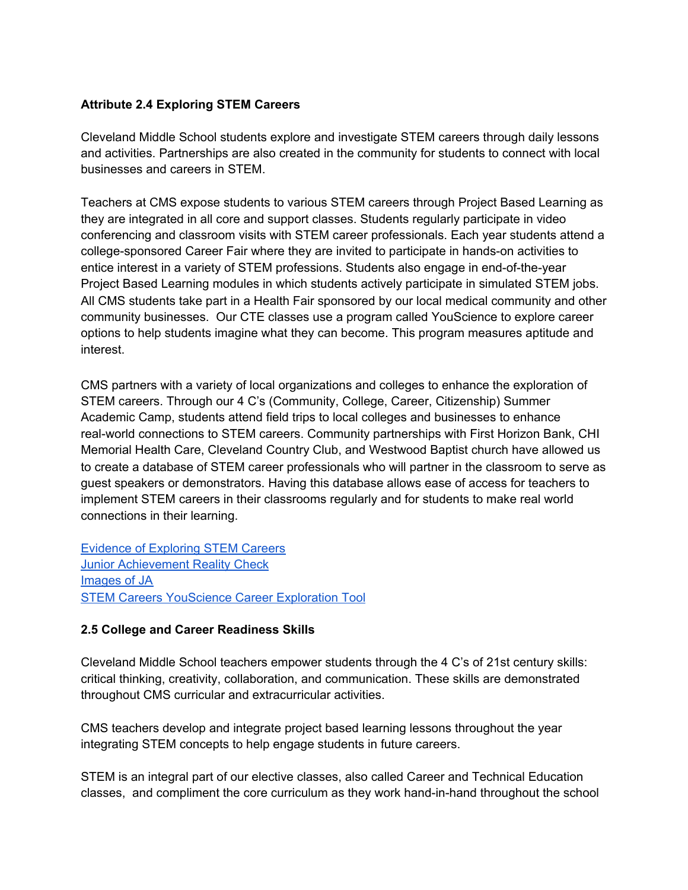### **Attribute 2.4 Exploring STEM Careers**

Cleveland Middle School students explore and investigate STEM careers through daily lessons and activities. Partnerships are also created in the community for students to connect with local businesses and careers in STEM.

Teachers at CMS expose students to various STEM careers through Project Based Learning as they are integrated in all core and support classes. Students regularly participate in video conferencing and classroom visits with STEM career professionals. Each year students attend a college-sponsored Career Fair where they are invited to participate in hands-on activities to entice interest in a variety of STEM professions. Students also engage in end-of-the-year Project Based Learning modules in which students actively participate in simulated STEM jobs. All CMS students take part in a Health Fair sponsored by our local medical community and other community businesses. Our CTE classes use a program called YouScience to explore career options to help students imagine what they can become. This program measures aptitude and interest.

CMS partners with a variety of local organizations and colleges to enhance the exploration of STEM careers. Through our 4 C's (Community, College, Career, Citizenship) Summer Academic Camp, students attend field trips to local colleges and businesses to enhance real-world connections to STEM careers. Community partnerships with First Horizon Bank, CHI Memorial Health Care, Cleveland Country Club, and Westwood Baptist church have allowed us to create a database of STEM career professionals who will partner in the classroom to serve as guest speakers or demonstrators. Having this database allows ease of access for teachers to implement STEM careers in their classrooms regularly and for students to make real world connections in their learning.

Evidence of [Exploring](https://2212251b-a6fc-4dbb-88de-94bcbd27cb94.filesusr.com/ugd/2b7659_15801f96248845558e97df17b00ed3c5.pdf) STEM Careers Junior [Achievement](https://ocoeeregion.ja.org/index) Reality Check [Images](https://www.cmssteam.com/curriculum-instruction) of JA STEM Careers [YouScience](https://2212251b-a6fc-4dbb-88de-94bcbd27cb94.filesusr.com/ugd/2b7659_d4e8da0ddfde4f94911c5d6091ce622a.pdf) Career Exploration Tool

#### **2.5 College and Career Readiness Skills**

Cleveland Middle School teachers empower students through the 4 C's of 21st century skills: critical thinking, creativity, collaboration, and communication. These skills are demonstrated throughout CMS curricular and extracurricular activities.

CMS teachers develop and integrate project based learning lessons throughout the year integrating STEM concepts to help engage students in future careers.

STEM is an integral part of our elective classes, also called Career and Technical Education classes, and compliment the core curriculum as they work hand-in-hand throughout the school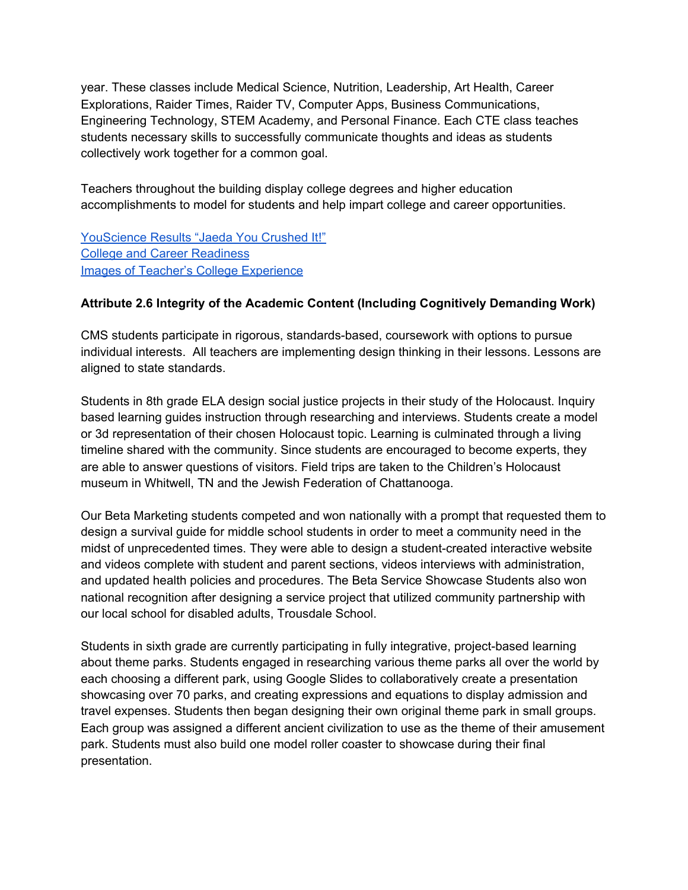year. These classes include Medical Science, Nutrition, Leadership, Art Health, Career Explorations, Raider Times, Raider TV, Computer Apps, Business Communications, Engineering Technology, STEM Academy, and Personal Finance. Each CTE class teaches students necessary skills to successfully communicate thoughts and ideas as students collectively work together for a common goal.

Teachers throughout the building display college degrees and higher education accomplishments to model for students and help impart college and career opportunities.

[YouScience](https://2212251b-a6fc-4dbb-88de-94bcbd27cb94.filesusr.com/ugd/2b7659_825ff45b80744f6ea8dd173e1eb4018d.pdf) Results "Jaeda You Crushed It!" College and Career [Readiness](https://2212251b-a6fc-4dbb-88de-94bcbd27cb94.filesusr.com/ugd/2b7659_15801f96248845558e97df17b00ed3c5.pdf) Images of Teacher's College [Experience](https://www.cmssteam.com/curriculum-instruction)

# **Attribute 2.6 Integrity of the Academic Content (Including Cognitively Demanding Work)**

CMS students participate in rigorous, standards-based, coursework with options to pursue individual interests. All teachers are implementing design thinking in their lessons. Lessons are aligned to state standards.

Students in 8th grade ELA design social justice projects in their study of the Holocaust. Inquiry based learning guides instruction through researching and interviews. Students create a model or 3d representation of their chosen Holocaust topic. Learning is culminated through a living timeline shared with the community. Since students are encouraged to become experts, they are able to answer questions of visitors. Field trips are taken to the Children's Holocaust museum in Whitwell, TN and the Jewish Federation of Chattanooga.

Our Beta Marketing students competed and won nationally with a prompt that requested them to design a survival guide for middle school students in order to meet a community need in the midst of unprecedented times. They were able to design a student-created interactive website and videos complete with student and parent sections, videos interviews with administration, and updated health policies and procedures. The Beta Service Showcase Students also won national recognition after designing a service project that utilized community partnership with our local school for disabled adults, Trousdale School.

Students in sixth grade are currently participating in fully integrative, project-based learning about theme parks. Students engaged in researching various theme parks all over the world by each choosing a different park, using Google Slides to collaboratively create a presentation showcasing over 70 parks, and creating expressions and equations to display admission and travel expenses. Students then began designing their own original theme park in small groups. Each group was assigned a different ancient civilization to use as the theme of their amusement park. Students must also build one model roller coaster to showcase during their final presentation.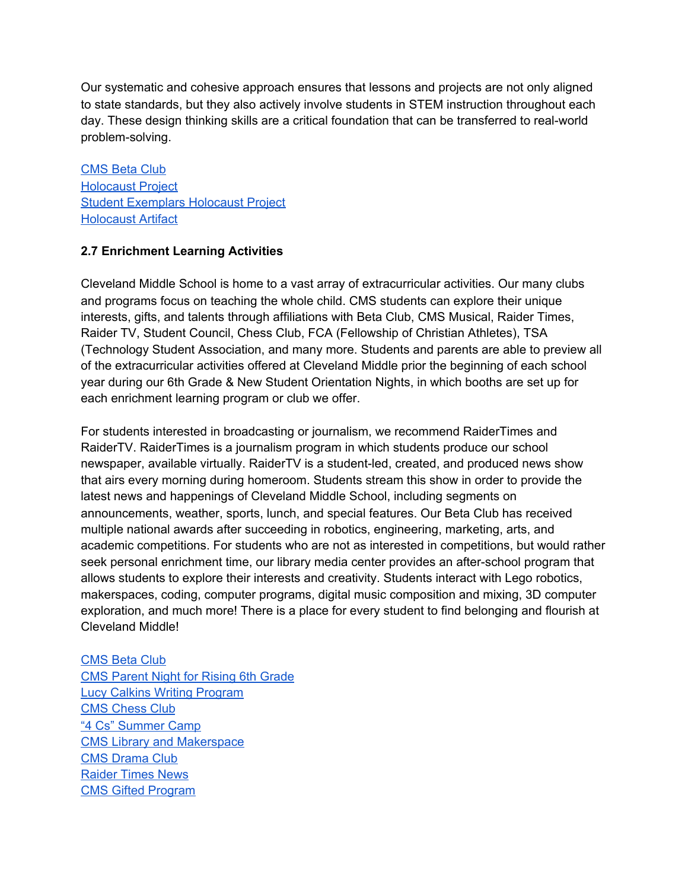Our systematic and cohesive approach ensures that lessons and projects are not only aligned to state standards, but they also actively involve students in STEM instruction throughout each day. These design thinking skills are a critical foundation that can be transferred to real-world problem-solving.

[CMS](https://www.cmssteam.com/copy-of-lucy-writing-program) Beta Club [Holocaust](https://www.cmssteam.com/curriculum-instruction) Project Student [Exemplars](https://2212251b-a6fc-4dbb-88de-94bcbd27cb94.filesusr.com/ugd/2b7659_c079f54a5bcd42abba5ae9c7e85ca9a8.pdf) Holocaust Project [Holocaust](https://2212251b-a6fc-4dbb-88de-94bcbd27cb94.filesusr.com/ugd/2b7659_273b659c9c03446b8d2ecab5764a50e9.pdf) Artifact

### **2.7 Enrichment Learning Activities**

Cleveland Middle School is home to a vast array of extracurricular activities. Our many clubs and programs focus on teaching the whole child. CMS students can explore their unique interests, gifts, and talents through affiliations with Beta Club, CMS Musical, Raider Times, Raider TV, Student Council, Chess Club, FCA (Fellowship of Christian Athletes), TSA (Technology Student Association, and many more. Students and parents are able to preview all of the extracurricular activities offered at Cleveland Middle prior the beginning of each school year during our 6th Grade & New Student Orientation Nights, in which booths are set up for each enrichment learning program or club we offer.

For students interested in broadcasting or journalism, we recommend RaiderTimes and RaiderTV. RaiderTimes is a journalism program in which students produce our school newspaper, available virtually. RaiderTV is a student-led, created, and produced news show that airs every morning during homeroom. Students stream this show in order to provide the latest news and happenings of Cleveland Middle School, including segments on announcements, weather, sports, lunch, and special features. Our Beta Club has received multiple national awards after succeeding in robotics, engineering, marketing, arts, and academic competitions. For students who are not as interested in competitions, but would rather seek personal enrichment time, our library media center provides an after-school program that allows students to explore their interests and creativity. Students interact with Lego robotics, makerspaces, coding, computer programs, digital music composition and mixing, 3D computer exploration, and much more! There is a place for every student to find belonging and flourish at Cleveland Middle!

#### [CMS](https://www.cmssteam.com/copy-of-lucy-writing-program) Beta Club

CMS [Parent](https://2212251b-a6fc-4dbb-88de-94bcbd27cb94.filesusr.com/ugd/2b7659_e7c75383521f4ff98049307eb5620d44.pdf) Night for Rising 6th Grade Lucy Calkins Writing [Program](https://www.cmssteam.com/copy-of-raider-academy-s-t) CMS [Chess](https://www.cmssteam.com/copy-of-beta-club) Club "4 Cs" [Summer](https://www.cmssteam.com/copy-of-r-t-i-program-s-t) Camp CMS Library and [Makerspace](https://www.cmssteam.com/copy-of-6th-grade-language-arts-s-t-3) CMS [Drama](https://www.cmssteam.com/copy-of-beta-club-2) Club [Raider](https://www.cmssteam.com/copy-of-6th-grade-language-arts-s-t-2) Times News CMS Gifted [Program](https://www.cmssteam.com/copy-of-r-t-i-program-1)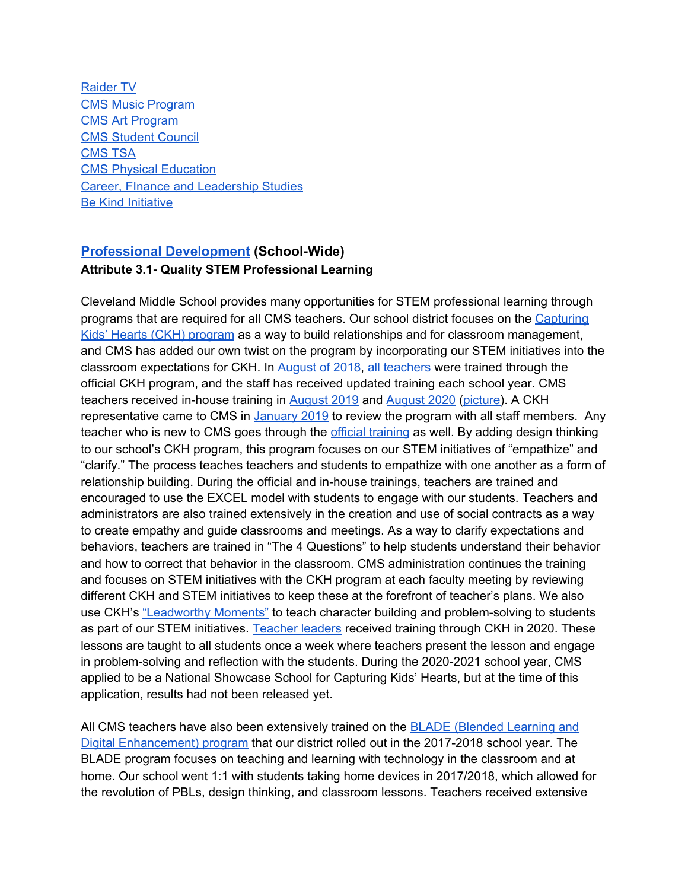[Raider](https://www.cmssteam.com/copy-of-medical-science-s-t) TV CMS Music [Program](https://www.cmssteam.com/copy-of-beta-club-1) CMS Art [Program](https://www.cmssteam.com/copy-of-music-program) CMS [Student](https://www.cmssteam.com/copy-of-beta-club-student-council) Council [CMS](https://www.cmssteam.com/copy-of-cms-student-council) TSA CMS Physical [Education](https://www.cmssteam.com/copy-of-cms-health-nutrition-progra) Career, FInance and [Leadership](https://www.cmssteam.com/copy-of-4-c-s-summer-academic-camp-1) Studies Be Kind [Initiative](https://www.cmssteam.com/curriculum-instruction)

# **[Professional Development](https://www.cmssteam.com/professional-development) (School-Wide) Attribute 3.1- Quality STEM Professional Learning**

Cleveland Middle School provides many opportunities for STEM professional learning through programs that are required for all CMS teachers. Our school district focuses on the [Capturing](https://flippengroup.com/education-professional-development/) Kids' Hearts (CKH) [program](https://flippengroup.com/education-professional-development/) as a way to build relationships and for classroom management, and CMS has added our own twist on the program by incorporating our STEM initiatives into the classroom expectations for CKH. In [August](https://drive.google.com/file/d/1D0EVmmE_bDdfiGlZIHIfoBEtTjOC0s4I/view?usp=sharing) of 2018, all [teachers](https://drive.google.com/file/d/1D-jWAgmopAe468MT6ud_xj_xk-4A4dBA/view?usp=sharing) were trained through the official CKH program, and the staff has received updated training each school year. CMS teachers received in-house training in [August](https://www.smore.com/p05e7-cms-this-week) 2019 and [August](https://drive.google.com/file/d/1D3kKk5L_Nc10HnoCAscIJkAuz-kH5xJL/view?usp=sharing) 2020 [\(picture\)](https://drive.google.com/file/d/1kpnIg1ohxB1y6iYuSea0EUVAqGT-bPMQ/view?usp=sharing). A CKH representative came to CMS in [January](https://drive.google.com/file/d/1DHv8Cctdh4TkpgIKJ1qvOGSPSF2bE1xf/view?usp=sharing) 2019 to review the program with all staff members. Any teacher who is new to CMS goes through the *official [training](https://drive.google.com/file/d/1xUg7hRYGKMSfuxUQBtLth4KPrOw6Upft/view?usp=sharing)* as well. By adding design thinking to our school's CKH program, this program focuses on our STEM initiatives of "empathize" and "clarify." The process teaches teachers and students to empathize with one another as a form of relationship building. During the official and in-house trainings, teachers are trained and encouraged to use the EXCEL model with students to engage with our students. Teachers and administrators are also trained extensively in the creation and use of social contracts as a way to create empathy and guide classrooms and meetings. As a way to clarify expectations and behaviors, teachers are trained in "The 4 Questions" to help students understand their behavior and how to correct that behavior in the classroom. CMS administration continues the training and focuses on STEM initiatives with the CKH program at each faculty meeting by reviewing different CKH and STEM initiatives to keep these at the forefront of teacher's plans. We also use CKH's ["Leadworthy](https://docs.google.com/presentation/d/1KewtoVV0N4UNhaPbA0O5WsbvZxrkua2UPSwnGmVNpnA/edit?usp=sharing) Moments" to teach character building and problem-solving to students as part of our STEM initiatives. [Teacher](https://drive.google.com/file/d/1nCOtcE_ZK9Pq1rso3PwIXj9dmvS_98Rp/view?usp=sharing) leaders received training through CKH in 2020. These lessons are taught to all students once a week where teachers present the lesson and engage in problem-solving and reflection with the students. During the 2020-2021 school year, CMS applied to be a National Showcase School for Capturing Kids' Hearts, but at the time of this application, results had not been released yet.

All CMS teachers have also been extensively trained on the BLADE [\(Blended](https://www.clevelandschools.org/o/district/page/blade-project) Learning and Digital [Enhancement\)](https://www.clevelandschools.org/o/district/page/blade-project) program that our district rolled out in the 2017-2018 school year. The BLADE program focuses on teaching and learning with technology in the classroom and at home. Our school went 1:1 with students taking home devices in 2017/2018, which allowed for the revolution of PBLs, design thinking, and classroom lessons. Teachers received extensive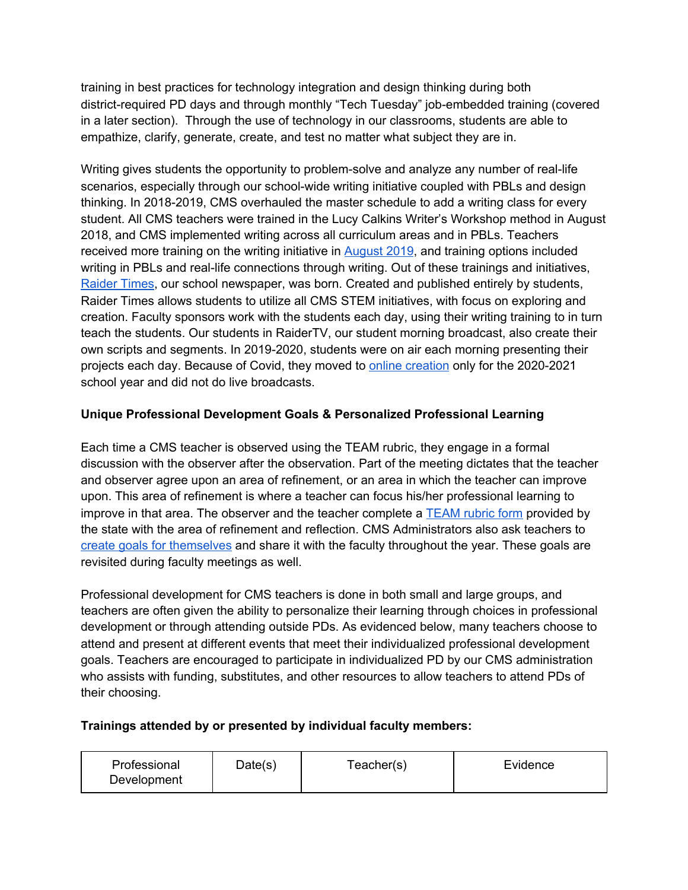training in best practices for technology integration and design thinking during both district-required PD days and through monthly "Tech Tuesday" job-embedded training (covered in a later section). Through the use of technology in our classrooms, students are able to empathize, clarify, generate, create, and test no matter what subject they are in.

Writing gives students the opportunity to problem-solve and analyze any number of real-life scenarios, especially through our school-wide writing initiative coupled with PBLs and design thinking. In 2018-2019, CMS overhauled the master schedule to add a writing class for every student. All CMS teachers were trained in the Lucy Calkins Writer's Workshop method in August 2018, and CMS implemented writing across all curriculum areas and in PBLs. Teachers received more training on the writing initiative in [August](https://docs.google.com/presentation/d/1ma6kwQDHvimT7r8y9wloRLFmcgd7q6vqn_imRQGiIHA/edit?usp=sharing) 2019, and training options included writing in PBLs and real-life connections through writing. Out of these trainings and initiatives, [Raider](https://www.raidertimes.org/) Times, our school newspaper, was born. Created and published entirely by students, Raider Times allows students to utilize all CMS STEM initiatives, with focus on exploring and creation. Faculty sponsors work with the students each day, using their writing training to in turn teach the students. Our students in RaiderTV, our student morning broadcast, also create their own scripts and segments. In 2019-2020, students were on air each morning presenting their projects each day. Because of Covid, they moved to online [creation](https://www.clevelandschools.org/article/308522?org=middle-school) only for the 2020-2021 school year and did not do live broadcasts.

# **Unique Professional Development Goals & Personalized Professional Learning**

Each time a CMS teacher is observed using the TEAM rubric, they engage in a formal discussion with the observer after the observation. Part of the meeting dictates that the teacher and observer agree upon an area of refinement, or an area in which the teacher can improve upon. This area of refinement is where a teacher can focus his/her professional learning to improve in that area. The observer and the teacher complete a [TEAM](https://drive.google.com/file/d/1xbbOZxx5TEHxTvqyA5RRjvyJVGPIdjbo/view?usp=sharing) rubric form provided by the state with the area of refinement and reflection. CMS Administrators also ask teachers to create goals for [themselves](https://www.smore.com/0gys4-cms-this-week--) and share it with the faculty throughout the year. These goals are revisited during faculty meetings as well.

Professional development for CMS teachers is done in both small and large groups, and teachers are often given the ability to personalize their learning through choices in professional development or through attending outside PDs. As evidenced below, many teachers choose to attend and present at different events that meet their individualized professional development goals. Teachers are encouraged to participate in individualized PD by our CMS administration who assists with funding, substitutes, and other resources to allow teachers to attend PDs of their choosing.

# **Trainings attended by or presented by individual faculty members:**

| Professional<br>Date(s)<br>Development | Feacher(s) | Evidence |
|----------------------------------------|------------|----------|
|----------------------------------------|------------|----------|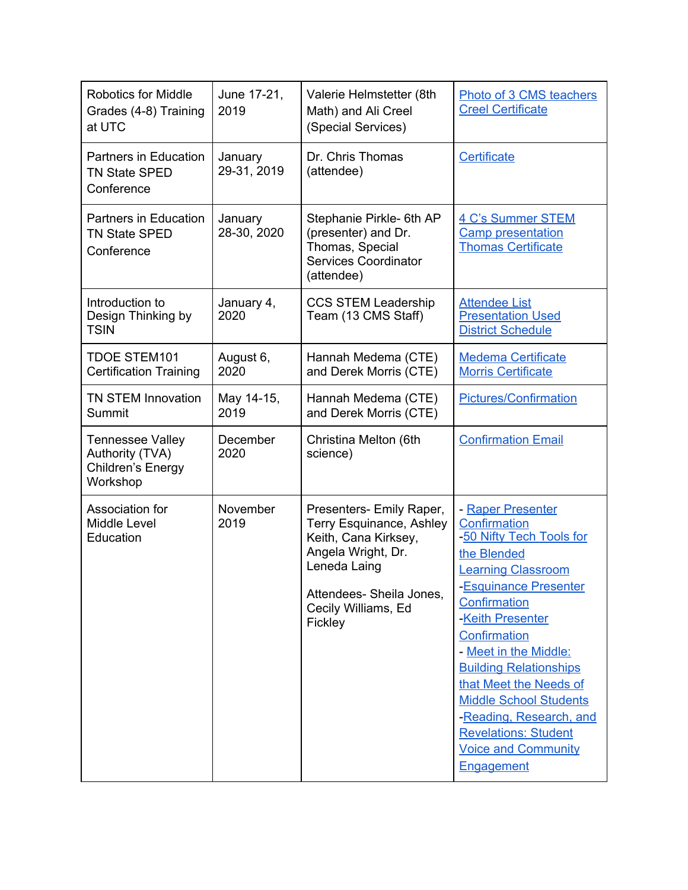| <b>Robotics for Middle</b><br>Grades (4-8) Training<br>at UTC               | June 17-21,<br>2019    | Valerie Helmstetter (8th<br>Math) and Ali Creel<br>(Special Services)                                                                                                                   | Photo of 3 CMS teachers<br><b>Creel Certificate</b>                                                                                                                                                                                                                                                                                                                                                               |
|-----------------------------------------------------------------------------|------------------------|-----------------------------------------------------------------------------------------------------------------------------------------------------------------------------------------|-------------------------------------------------------------------------------------------------------------------------------------------------------------------------------------------------------------------------------------------------------------------------------------------------------------------------------------------------------------------------------------------------------------------|
| <b>Partners in Education</b><br><b>TN State SPED</b><br>Conference          | January<br>29-31, 2019 | Dr. Chris Thomas<br>(attendee)                                                                                                                                                          | Certificate                                                                                                                                                                                                                                                                                                                                                                                                       |
| Partners in Education<br><b>TN State SPED</b><br>Conference                 | January<br>28-30, 2020 | Stephanie Pirkle- 6th AP<br>(presenter) and Dr.<br>Thomas, Special<br><b>Services Coordinator</b><br>(attendee)                                                                         | <b>4 C's Summer STEM</b><br><b>Camp presentation</b><br><b>Thomas Certificate</b>                                                                                                                                                                                                                                                                                                                                 |
| Introduction to<br>Design Thinking by<br><b>TSIN</b>                        | January 4,<br>2020     | <b>CCS STEM Leadership</b><br>Team (13 CMS Staff)                                                                                                                                       | <b>Attendee List</b><br><b>Presentation Used</b><br><b>District Schedule</b>                                                                                                                                                                                                                                                                                                                                      |
| <b>TDOE STEM101</b><br><b>Certification Training</b>                        | August 6,<br>2020      | Hannah Medema (CTE)<br>and Derek Morris (CTE)                                                                                                                                           | <b>Medema Certificate</b><br><b>Morris Certificate</b>                                                                                                                                                                                                                                                                                                                                                            |
| <b>TN STEM Innovation</b><br>Summit                                         | May 14-15,<br>2019     | Hannah Medema (CTE)<br>and Derek Morris (CTE)                                                                                                                                           | <b>Pictures/Confirmation</b>                                                                                                                                                                                                                                                                                                                                                                                      |
| <b>Tennessee Valley</b><br>Authority (TVA)<br>Children's Energy<br>Workshop | December<br>2020       | Christina Melton (6th<br>science)                                                                                                                                                       | <b>Confirmation Email</b>                                                                                                                                                                                                                                                                                                                                                                                         |
| Association for<br><b>Middle Level</b><br>Education                         | November<br>2019       | Presenters- Emily Raper,<br><b>Terry Esquinance, Ashley</b><br>Keith, Cana Kirksey,<br>Angela Wright, Dr.<br>Leneda Laing<br>Attendees- Sheila Jones,<br>Cecily Williams, Ed<br>Fickley | - Raper Presenter<br>Confirmation<br>-50 Nifty Tech Tools for<br>the Blended<br><b>Learning Classroom</b><br>-Esquinance Presenter<br>Confirmation<br>-Keith Presenter<br>Confirmation<br>- Meet in the Middle:<br><b>Building Relationships</b><br>that Meet the Needs of<br><b>Middle School Students</b><br>-Reading, Research, and<br><b>Revelations: Student</b><br><b>Voice and Community</b><br>Engagement |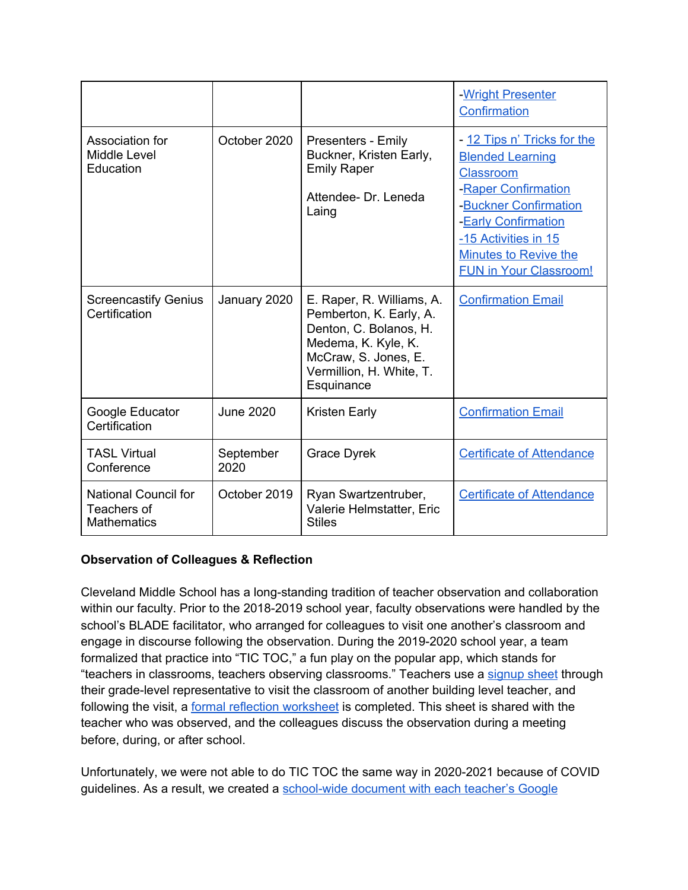|                                                                  |                   |                                                                                                                                                                         | -Wright Presenter<br>Confirmation                                                                                                                                                                                                   |
|------------------------------------------------------------------|-------------------|-------------------------------------------------------------------------------------------------------------------------------------------------------------------------|-------------------------------------------------------------------------------------------------------------------------------------------------------------------------------------------------------------------------------------|
| Association for<br>Middle Level<br>Education                     | October 2020      | Presenters - Emily<br>Buckner, Kristen Early,<br><b>Emily Raper</b><br>Attendee- Dr. Leneda<br>Laing                                                                    | - 12 Tips n' Tricks for the<br><b>Blended Learning</b><br><b>Classroom</b><br>-Raper Confirmation<br>-Buckner Confirmation<br>-Early Confirmation<br>-15 Activities in 15<br>Minutes to Revive the<br><b>FUN in Your Classroom!</b> |
| <b>Screencastify Genius</b><br>Certification                     | January 2020      | E. Raper, R. Williams, A.<br>Pemberton, K. Early, A.<br>Denton, C. Bolanos, H.<br>Medema, K. Kyle, K.<br>McCraw, S. Jones, E.<br>Vermillion, H. White, T.<br>Esquinance | <b>Confirmation Email</b>                                                                                                                                                                                                           |
| Google Educator<br>Certification                                 | <b>June 2020</b>  | <b>Kristen Early</b>                                                                                                                                                    | <b>Confirmation Email</b>                                                                                                                                                                                                           |
| <b>TASL Virtual</b><br>Conference                                | September<br>2020 | <b>Grace Dyrek</b>                                                                                                                                                      | <b>Certificate of Attendance</b>                                                                                                                                                                                                    |
| <b>National Council for</b><br>Teachers of<br><b>Mathematics</b> | October 2019      | Ryan Swartzentruber,<br>Valerie Helmstatter, Eric<br><b>Stiles</b>                                                                                                      | <b>Certificate of Attendance</b>                                                                                                                                                                                                    |

# **Observation of Colleagues & Reflection**

Cleveland Middle School has a long-standing tradition of teacher observation and collaboration within our faculty. Prior to the 2018-2019 school year, faculty observations were handled by the school's BLADE facilitator, who arranged for colleagues to visit one another's classroom and engage in discourse following the observation. During the 2019-2020 school year, a team formalized that practice into "TIC TOC," a fun play on the popular app, which stands for "teachers in classrooms, teachers observing classrooms." Teachers use a [signup](https://docs.google.com/spreadsheets/d/18x-wyrOZGzuj6A3UwfxQ9rC7ZLpeIoAfsvTeQWCGAfw/edit?usp=sharing) sheet through their grade-level representative to visit the classroom of another building level teacher, and following the visit, a formal reflection [worksheet](https://docs.google.com/document/d/1RIpM09qo3G64gsJkNIoIEcJFptlT1Q4__O5wEDU2OeY/edit?usp=sharing) is completed. This sheet is shared with the teacher who was observed, and the colleagues discuss the observation during a meeting before, during, or after school.

Unfortunately, we were not able to do TIC TOC the same way in 2020-2021 because of COVID guidelines. As a result, we created a [school-wide](https://docs.google.com/spreadsheets/d/1CQxP9XJoOAs_Ep1tLbfzMiZUa3peUbcl1UYVJSQ3vCs/edit?usp=sharing) document with each teacher's Google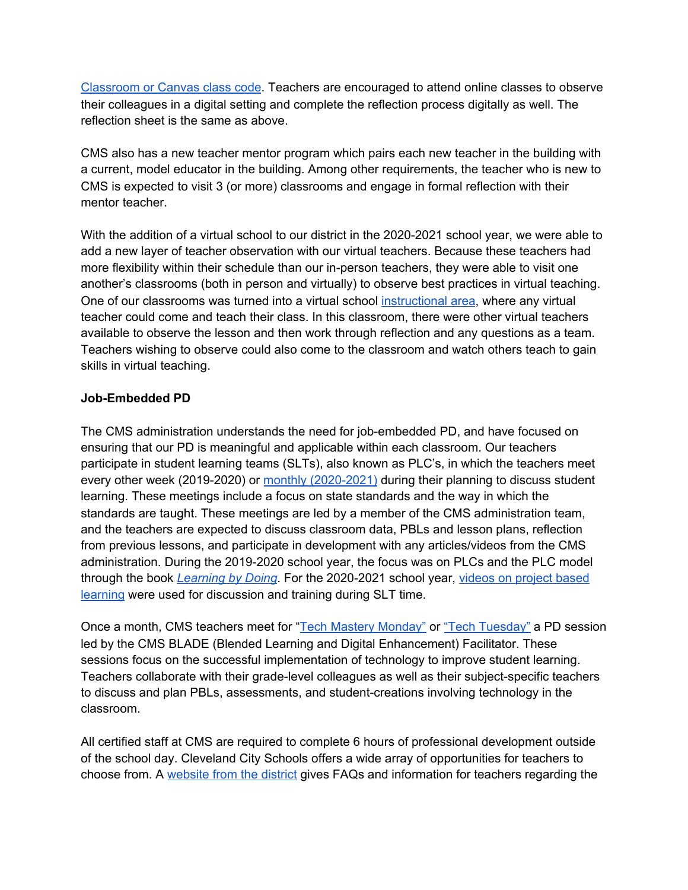[Classroom](https://docs.google.com/spreadsheets/d/1CQxP9XJoOAs_Ep1tLbfzMiZUa3peUbcl1UYVJSQ3vCs/edit?usp=sharing) or Canvas class code. Teachers are encouraged to attend online classes to observe their colleagues in a digital setting and complete the reflection process digitally as well. The reflection sheet is the same as above.

CMS also has a new teacher mentor program which pairs each new teacher in the building with a current, model educator in the building. Among other requirements, the teacher who is new to CMS is expected to visit 3 (or more) classrooms and engage in formal reflection with their mentor teacher.

With the addition of a virtual school to our district in the 2020-2021 school year, we were able to add a new layer of teacher observation with our virtual teachers. Because these teachers had more flexibility within their schedule than our in-person teachers, they were able to visit one another's classrooms (both in person and virtually) to observe best practices in virtual teaching. One of our classrooms was turned into a virtual school [instructional](https://drive.google.com/file/d/1B-4nCWS3iwev6MuxZssYBlU4g6cmETJ_/view?usp=sharing) area, where any virtual teacher could come and teach their class. In this classroom, there were other virtual teachers available to observe the lesson and then work through reflection and any questions as a team. Teachers wishing to observe could also come to the classroom and watch others teach to gain skills in virtual teaching.

### **Job-Embedded PD**

The CMS administration understands the need for job-embedded PD, and have focused on ensuring that our PD is meaningful and applicable within each classroom. Our teachers participate in student learning teams (SLTs), also known as PLC's, in which the teachers meet every other week (2019-2020) or monthly [\(2020-2021\)](https://docs.google.com/document/d/1fXGSWc0m20cQ9o4vOZgUlaFJbPBtMQs7nUqDZsf_4B8/edit?usp=sharing) during their planning to discuss student learning. These meetings include a focus on state standards and the way in which the standards are taught. These meetings are led by a member of the CMS administration team, and the teachers are expected to discuss classroom data, PBLs and lesson plans, reflection from previous lessons, and participate in development with any articles/videos from the CMS administration. During the 2019-2020 school year, the focus was on PLCs and the PLC model through the book *[Learning](https://www.solutiontree.com/learning-by-doing-third-edition.html) by Doing*. For the 2020-2021 school year, videos on [project](https://docs.google.com/document/d/1SiukkbSfzKZOK7gYzFtMsHeRyfWYZRU5tvdGEqAsF60/edit?usp=sharing) based [learning](https://docs.google.com/document/d/1SiukkbSfzKZOK7gYzFtMsHeRyfWYZRU5tvdGEqAsF60/edit?usp=sharing) were used for discussion and training during SLT time.

Once a month, CMS teachers meet for "Tech Mastery [Monday"](https://drive.google.com/file/d/1U0hcBacUm8bgUwrYec9svpIPkdapqLmZ/view?usp=sharing) or "Tech [Tuesday"](https://docs.google.com/spreadsheets/d/1PWiRMHj2HOPeRKGXfATS-lt041sXo4nNATZ_R3kENN0/edit?usp=sharing) a PD session led by the CMS BLADE (Blended Learning and Digital Enhancement) Facilitator. These sessions focus on the successful implementation of technology to improve student learning. Teachers collaborate with their grade-level colleagues as well as their subject-specific teachers to discuss and plan PBLs, assessments, and student-creations involving technology in the classroom.

All certified staff at CMS are required to complete 6 hours of professional development outside of the school day. Cleveland City Schools offers a wide array of opportunities for teachers to choose from. A [website](https://sites.google.com/clevelandschools.org/ccsprofessionaldevelopment/home/pd-faq-sheet) from the district gives FAQs and information for teachers regarding the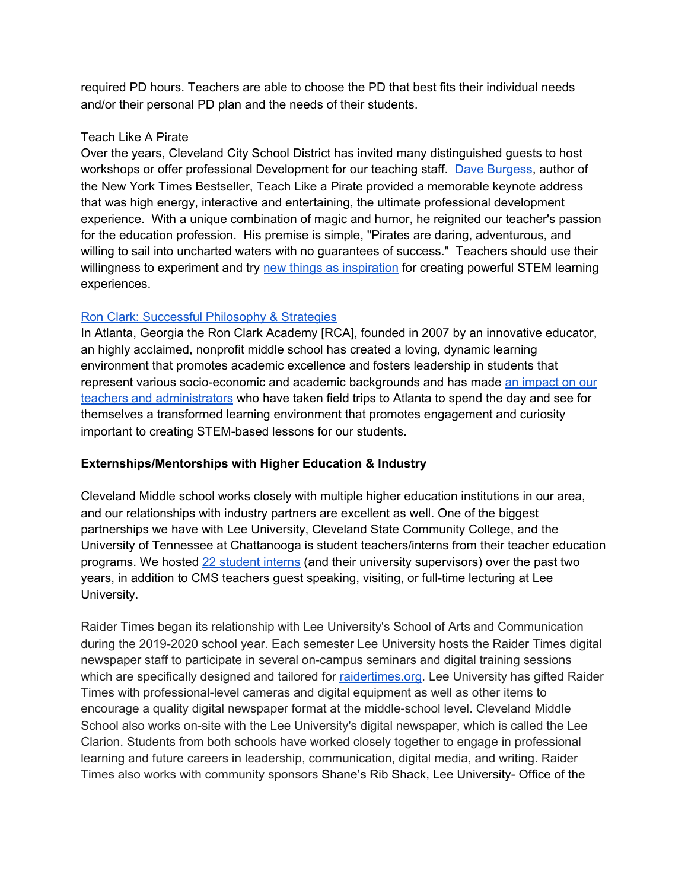required PD hours. Teachers are able to choose the PD that best fits their individual needs and/or their personal PD plan and the needs of their students.

# Teach Like A Pirate

Over the years, Cleveland City School District has invited many distinguished guests to host workshops or offer professional Development for our teaching staff. Dave [Burgess](https://daveburgess.com/), author of the New York Times Bestseller, Teach Like a Pirate provided a memorable keynote address that was high energy, interactive and entertaining, the ultimate professional development experience. With a unique combination of magic and humor, he reignited our teacher's passion for the education profession. His premise is simple, "Pirates are daring, adventurous, and willing to sail into uncharted waters with no guarantees of success." Teachers should use their willingness to experiment and try new things as [inspiration](https://2212251b-a6fc-4dbb-88de-94bcbd27cb94.filesusr.com/ugd/2b7659_330ec4704d21433589ae8b24c5b354d6.pdf) for creating powerful STEM learning experiences.

# Ron Clark: Successful [Philosophy](http://empower.ascd.org/general-information/conference-daily/dont-be-bread-be-pizza.aspx) & Strategies

In Atlanta, Georgia the Ron Clark Academy [RCA], founded in 2007 by an innovative educator, an highly acclaimed, nonprofit middle school has created a loving, dynamic learning environment that promotes academic excellence and fosters leadership in students that represent various socio-economic and academic backgrounds and has made an [impact](https://2212251b-a6fc-4dbb-88de-94bcbd27cb94.filesusr.com/ugd/2b7659_5fc34e3d679a4da7abc32d9b6354dabb.pdf) on our teachers and [administrators](https://2212251b-a6fc-4dbb-88de-94bcbd27cb94.filesusr.com/ugd/2b7659_5fc34e3d679a4da7abc32d9b6354dabb.pdf) who have taken field trips to Atlanta to spend the day and see for themselves a transformed learning environment that promotes engagement and curiosity important to creating STEM-based lessons for our students.

# **Externships/Mentorships with Higher Education & Industry**

Cleveland Middle school works closely with multiple higher education institutions in our area, and our relationships with industry partners are excellent as well. One of the biggest partnerships we have with Lee University, Cleveland State Community College, and the University of Tennessee at Chattanooga is student teachers/interns from their teacher education programs. We hosted 22 [student](https://docs.google.com/spreadsheets/d/1QqfPM0-KMSPnVRgte3n1R7ktXVcrRlJaaLxhF5C70co/edit?usp=sharing) interns (and their university supervisors) over the past two years, in addition to CMS teachers guest speaking, visiting, or full-time lecturing at Lee University.

Raider Times began its relationship with Lee University's School of Arts and Communication during the 2019-2020 school year. Each semester Lee University hosts the Raider Times digital newspaper staff to participate in several on-campus seminars and digital training sessions which are specifically designed and tailored for [raidertimes.org.](http://raidertimes.org/) Lee University has gifted Raider Times with professional-level cameras and digital equipment as well as other items to encourage a quality digital newspaper format at the middle-school level. Cleveland Middle School also works on-site with the Lee University's digital newspaper, which is called the Lee Clarion. Students from both schools have worked closely together to engage in professional learning and future careers in leadership, communication, digital media, and writing. Raider Times also works with community sponsors Shane's Rib Shack, Lee University- Office of the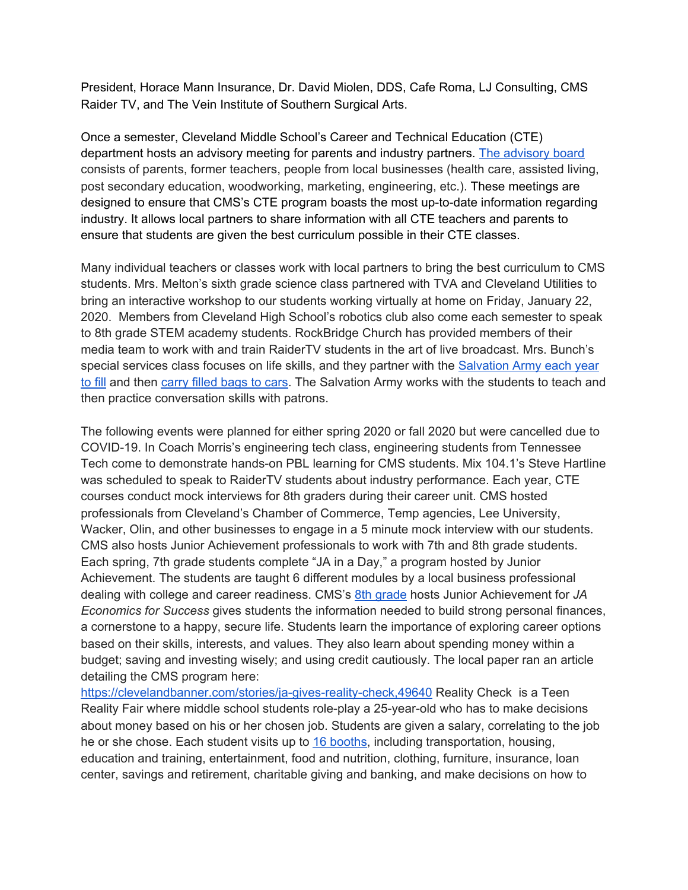President, Horace Mann Insurance, Dr. David Miolen, DDS, Cafe Roma, LJ Consulting, CMS Raider TV, and The Vein Institute of Southern Surgical Arts.

Once a semester, Cleveland Middle School's Career and Technical Education (CTE) department hosts an advisory meeting for parents and industry partners. [The](https://drive.google.com/file/d/1U8IaqXOGFjpcPK6ENvTZzo82nRiROLzV/view?usp=sharing) [advisory](https://drive.google.com/file/d/1U8IaqXOGFjpcPK6ENvTZzo82nRiROLzV/view?usp=sharing) board consists of parents, former teachers, people from local businesses (health care, assisted living, post secondary education, woodworking, marketing, engineering, etc.). These meetings are designed to ensure that CMS's CTE program boasts the most up-to-date information regarding industry. It allows local partners to share information with all CTE teachers and parents to ensure that students are given the best curriculum possible in their CTE classes.

Many individual teachers or classes work with local partners to bring the best curriculum to CMS students. Mrs. Melton's sixth grade science class partnered with TVA and Cleveland Utilities to bring an interactive workshop to our students working virtually at home on Friday, January 22, 2020. Members from Cleveland High School's robotics club also come each semester to speak to 8th grade STEM academy students. RockBridge Church has provided members of their media team to work with and train RaiderTV students in the art of live broadcast. Mrs. Bunch's special services class focuses on life skills, and they partner with the [Salvation](https://drive.google.com/file/d/1xTH0NtlwHj9CfInBVPq7QUEh3MTw1Bht/view?usp=sharing) Army each year to [fill](https://drive.google.com/file/d/1xTH0NtlwHj9CfInBVPq7QUEh3MTw1Bht/view?usp=sharing) and then [carry](https://drive.google.com/file/d/1VIaQ8bCzyNAbR57pZn4NICn2WI98mr9S/view?usp=sharing) filled bags to cars. The Salvation Army works with the students to teach and then practice conversation skills with patrons.

The following events were planned for either spring 2020 or fall 2020 but were cancelled due to COVID-19. In Coach Morris's engineering tech class, engineering students from Tennessee Tech come to demonstrate hands-on PBL learning for CMS students. Mix 104.1's Steve Hartline was scheduled to speak to RaiderTV students about industry performance. Each year, CTE courses conduct mock interviews for 8th graders during their career unit. CMS hosted professionals from Cleveland's Chamber of Commerce, Temp agencies, Lee University, Wacker, Olin, and other businesses to engage in a 5 minute mock interview with our students. CMS also hosts Junior Achievement professionals to work with 7th and 8th grade students. Each spring, 7th grade students complete "JA in a Day," a program hosted by Junior Achievement. The students are taught 6 different modules by a local business professional dealing with college and career readiness. CMS's 8th [grade](https://drive.google.com/file/d/1G4aphTMwDSOUb4Hg6UVP3vYGKaCYWbfH/view?usp=sharing) hosts Junior Achievement for *JA Economics for Success* gives students the information needed to build strong personal finances, a cornerstone to a happy, secure life. Students learn the importance of exploring career options based on their skills, interests, and values. They also learn about spending money within a budget; saving and investing wisely; and using credit cautiously. The local paper ran an article detailing the CMS program here:

<https://clevelandbanner.com/stories/ja-gives-reality-check,49640> Reality Check is a Teen Reality Fair where middle school students role-play a 25-year-old who has to make decisions about money based on his or her chosen job. Students are given a salary, correlating to the job he or she chose. Each student visits up to 16 [booths,](https://drive.google.com/file/d/1y6gK81n11FffZbtM3Tsi0Ya3y3AwNXqE/view?usp=sharing) including transportation, housing, education and training, entertainment, food and nutrition, clothing, furniture, insurance, loan center, savings and retirement, charitable giving and banking, and make decisions on how to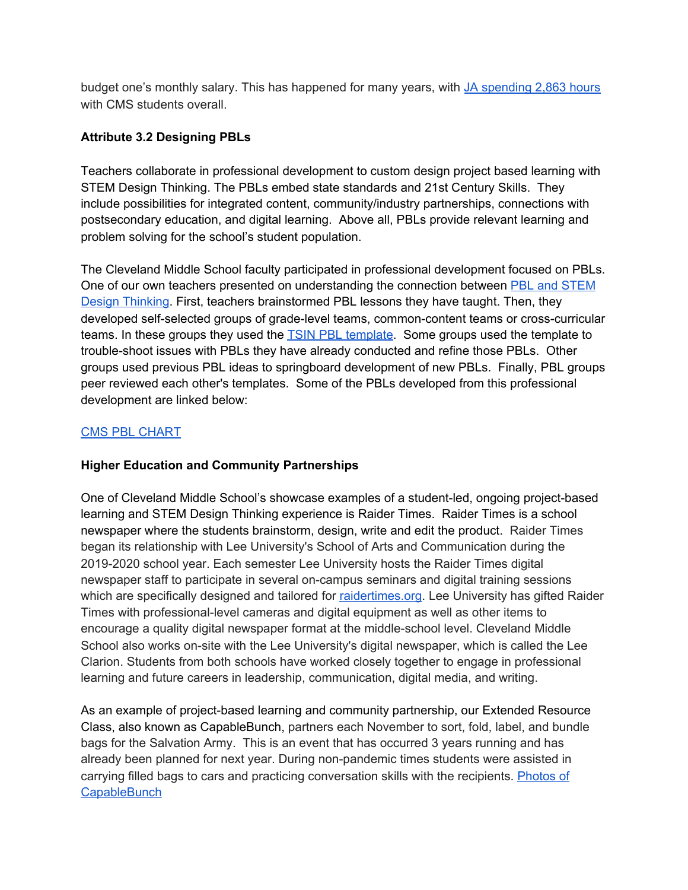budget one's monthly salary. This has happened for many years, with JA [spending](https://drive.google.com/file/d/1A1lZUL4d1aTThY85_kqg0N-J1gB8L2Ml/view?usp=sharing) 2,863 hours with CMS students overall.

# **Attribute 3.2 Designing PBLs**

Teachers collaborate in professional development to custom design project based learning with STEM Design Thinking. The PBLs embed state standards and 21st Century Skills. They include possibilities for integrated content, community/industry partnerships, connections with postsecondary education, and digital learning. Above all, PBLs provide relevant learning and problem solving for the school's student population.

The Cleveland Middle School faculty participated in professional development focused on PBLs. One of our own teachers presented on understanding the connection between PBL and [STEM](https://docs.google.com/presentation/d/1s9UjkWw5H-s-43lIA6LR8-hnXU_JxYTrEgjPpLA-x2A/edit?usp=sharing) Design [Thinking.](https://docs.google.com/presentation/d/1s9UjkWw5H-s-43lIA6LR8-hnXU_JxYTrEgjPpLA-x2A/edit?usp=sharing) First, teachers brainstormed PBL lessons they have taught. Then, they developed self-selected groups of grade-level teams, common-content teams or cross-curricular teams. In these groups they used the TSIN PBL [template](https://docs.google.com/document/d/1QXHC803iZk2tJaXydNnPY0x7zVNbmCIYcUp4PQLVm3c/edit?usp=sharing). Some groups used the template to trouble-shoot issues with PBLs they have already conducted and refine those PBLs. Other groups used previous PBL ideas to springboard development of new PBLs. Finally, PBL groups peer reviewed each other's templates. Some of the PBLs developed from this professional development are linked below:

# CMS PBL [CHART](https://docs.google.com/document/d/12voVRDJZhN9T6F3J9DvrazqZP4pnQ2qZndTRQnc3FJU/edit)

# **Higher Education and Community Partnerships**

One of Cleveland Middle School's showcase examples of a student-led, ongoing project-based learning and STEM Design Thinking experience is Raider Times. Raider Times is a school newspaper where the students brainstorm, design, write and edit the product. Raider Times began its relationship with Lee University's School of Arts and Communication during the 2019-2020 school year. Each semester Lee University hosts the Raider Times digital newspaper staff to participate in several on-campus seminars and digital training sessions which are specifically designed and tailored for [raidertimes.org.](http://raidertimes.org/) Lee University has gifted Raider Times with professional-level cameras and digital equipment as well as other items to encourage a quality digital newspaper format at the middle-school level. Cleveland Middle School also works on-site with the Lee University's digital newspaper, which is called the Lee Clarion. Students from both schools have worked closely together to engage in professional learning and future careers in leadership, communication, digital media, and writing.

As an example of project-based learning and community partnership, our Extended Resource Class, also known as CapableBunch, partners each November to sort, fold, label, and bundle bags for the Salvation Army. This is an event that has occurred 3 years running and has already been planned for next year. During non-pandemic times students were assisted in carrying filled bags to cars and practicing conversation skills with the recipients. [Photos](https://drive.google.com/drive/folders/1m7yOp4r5DctCNMjIHwLzuW2XRScaSCfG?usp=sharing) of **[CapableBunch](https://drive.google.com/drive/folders/1m7yOp4r5DctCNMjIHwLzuW2XRScaSCfG?usp=sharing)**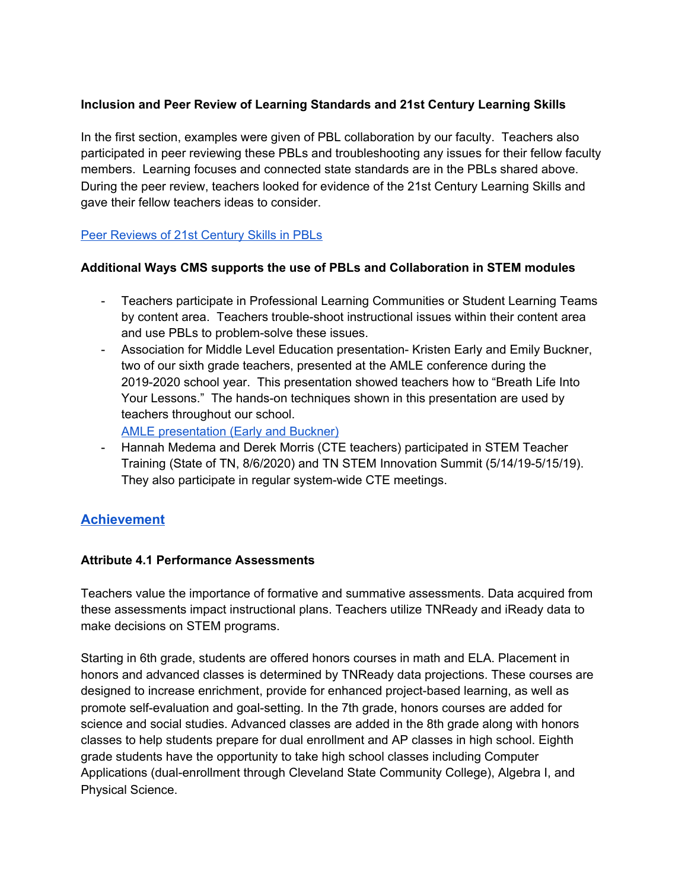# **Inclusion and Peer Review of Learning Standards and 21st Century Learning Skills**

In the first section, examples were given of PBL collaboration by our faculty. Teachers also participated in peer reviewing these PBLs and troubleshooting any issues for their fellow faculty members. Learning focuses and connected state standards are in the PBLs shared above. During the peer review, teachers looked for evidence of the 21st Century Learning Skills and gave their fellow teachers ideas to consider.

# Peer [Reviews](https://drive.google.com/file/d/14-qIeVSRCxMK6dy5FdvOPE5GcUqBv5kM/view?usp=sharing) of 21st Century Skills in PBLs

### **Additional Ways CMS supports the use of PBLs and Collaboration in STEM modules**

- Teachers participate in Professional Learning Communities or Student Learning Teams by content area. Teachers trouble-shoot instructional issues within their content area and use PBLs to problem-solve these issues.
- Association for Middle Level Education presentation- Kristen Early and Emily Buckner, two of our sixth grade teachers, presented at the AMLE conference during the 2019-2020 school year. This presentation showed teachers how to "Breath Life Into Your Lessons." The hands-on techniques shown in this presentation are used by teachers throughout our school.

AMLE [presentation](https://docs.google.com/presentation/d/1DmjPnTYOJJWWYwqQ-Y8R45Z8JLg7L2FkpvGTlpxo0HM/edit?usp=sharing) (Early and Buckner)

- Hannah Medema and Derek Morris (CTE teachers) participated in STEM Teacher Training (State of TN, 8/6/2020) and TN STEM Innovation Summit (5/14/19-5/15/19). They also participate in regular system-wide CTE meetings.

# **[Achievement](https://www.cmssteam.com/achievement)**

#### **Attribute 4.1 Performance Assessments**

Teachers value the importance of formative and summative assessments. Data acquired from these assessments impact instructional plans. Teachers utilize TNReady and iReady data to make decisions on STEM programs.

Starting in 6th grade, students are offered honors courses in math and ELA. Placement in honors and advanced classes is determined by TNReady data projections. These courses are designed to increase enrichment, provide for enhanced project-based learning, as well as promote self-evaluation and goal-setting. In the 7th grade, honors courses are added for science and social studies. Advanced classes are added in the 8th grade along with honors classes to help students prepare for dual enrollment and AP classes in high school. Eighth grade students have the opportunity to take high school classes including Computer Applications (dual-enrollment through Cleveland State Community College), Algebra I, and Physical Science.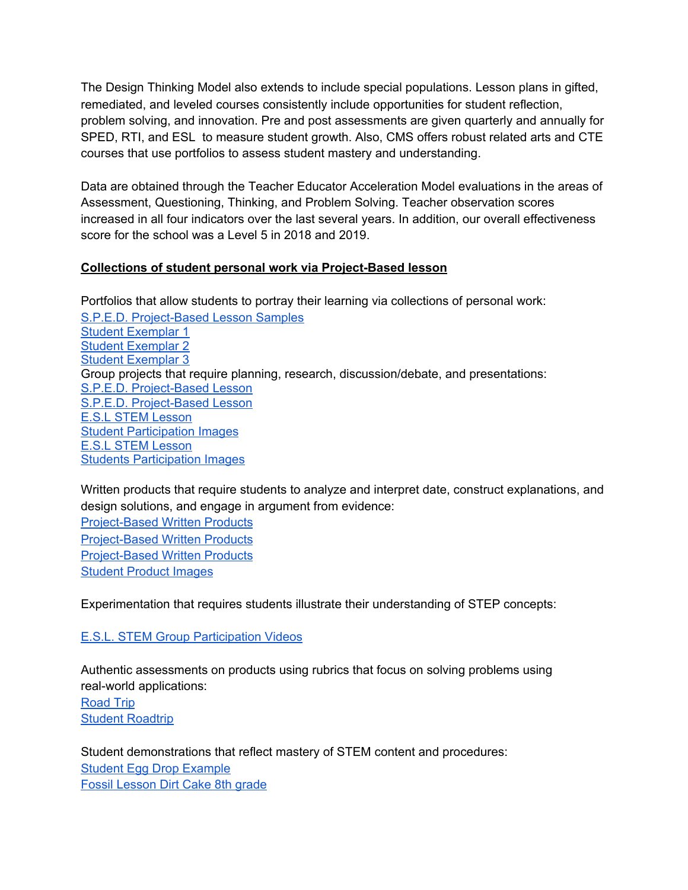The Design Thinking Model also extends to include special populations. Lesson plans in gifted, remediated, and leveled courses consistently include opportunities for student reflection, problem solving, and innovation. Pre and post assessments are given quarterly and annually for SPED, RTI, and ESL to measure student growth. Also, CMS offers robust related arts and CTE courses that use portfolios to assess student mastery and understanding.

Data are obtained through the Teacher Educator Acceleration Model evaluations in the areas of Assessment, Questioning, Thinking, and Problem Solving. Teacher observation scores increased in all four indicators over the last several years. In addition, our overall effectiveness score for the school was a Level 5 in 2018 and 2019.

### **Collections of student personal work via Project-Based lesson**

Portfolios that allow students to portray their learning via collections of personal work: S.P.E.D. [Project-Based](https://2212251b-a6fc-4dbb-88de-94bcbd27cb94.filesusr.com/ugd/2b7659_883d31be365a4210a79ffa526e5db7c6.pdf) Lesson Samples Student [Exemplar](https://2212251b-a6fc-4dbb-88de-94bcbd27cb94.filesusr.com/ugd/2b7659_9be0614a0e5149d8bcd356f631e5eaf3.pdf) 1 Student [Exemplar](https://2212251b-a6fc-4dbb-88de-94bcbd27cb94.filesusr.com/ugd/2b7659_be15686040bc442d81e526acd6f204d7.pdf) 2 Student [Exemplar](https://2212251b-a6fc-4dbb-88de-94bcbd27cb94.filesusr.com/ugd/2b7659_104665e8f1ca471081a7c97391f06097.pdf) 3 Group projects that require planning, research, discussion/debate, and presentations: S.P.E.D. [Project-Based](https://2212251b-a6fc-4dbb-88de-94bcbd27cb94.filesusr.com/ugd/2b7659_e820b72dae4c4f4bb5d2e8511f0b437b.pdf) Lesson S.P.E.D. [Project-Based](https://2212251b-a6fc-4dbb-88de-94bcbd27cb94.filesusr.com/ugd/2b7659_1c12036fc9d143cdb4c9890174387ad5.pdf) Lesson E.S.L STEM [Lesson](https://2212251b-a6fc-4dbb-88de-94bcbd27cb94.filesusr.com/ugd/2b7659_f407967093d1444092b6319a03c40d61.pdf) **Student [Participation](https://www.cmssteam.com/achievement) Images** E.S.L STEM [Lesson](https://2212251b-a6fc-4dbb-88de-94bcbd27cb94.filesusr.com/ugd/2b7659_90dec13975344d7b97613eaa81b83307.pdf) Students [Participation](https://www.cmssteam.com/achievement) Images

Written products that require students to analyze and interpret date, construct explanations, and design solutions, and engage in argument from evidence:

[Project-Based](https://2212251b-a6fc-4dbb-88de-94bcbd27cb94.filesusr.com/ugd/2b7659_e4e7e012a4274fcc98d79d67b950cf00.pdf) Written Products [Project-Based](https://2212251b-a6fc-4dbb-88de-94bcbd27cb94.filesusr.com/ugd/2b7659_5e37fab71e5e4c9a8294e0f26ae57abc.pdf) Written Products [Project-Based](https://2212251b-a6fc-4dbb-88de-94bcbd27cb94.filesusr.com/ugd/2b7659_fb80d19e187d4c14b1b9f10f63f46265.pdf) Written Products [Student](https://www.cmssteam.com/achievement) Product Images

Experimentation that requires students illustrate their understanding of STEP concepts:

E.S.L. STEM Group [Participation](https://www.cmssteam.com/achievement) Videos

Authentic assessments on products using rubrics that focus on solving problems using real-world applications:

[Road](https://2212251b-a6fc-4dbb-88de-94bcbd27cb94.filesusr.com/ugd/2b7659_883d31be365a4210a79ffa526e5db7c6.pdf) Trip Student [Roadtrip](https://2212251b-a6fc-4dbb-88de-94bcbd27cb94.filesusr.com/ugd/2b7659_9be0614a0e5149d8bcd356f631e5eaf3.pdf)

Student demonstrations that reflect mastery of STEM content and procedures: Student Egg Drop [Example](https://drive.google.com/drive/folders/1NBvE8ltqbDmgQdA1mbW70h5NBUzpxeBP) Fossil [Lesson](https://drive.google.com/drive/folders/1NBvE8ltqbDmgQdA1mbW70h5NBUzpxeBP) Dirt Cake 8th grade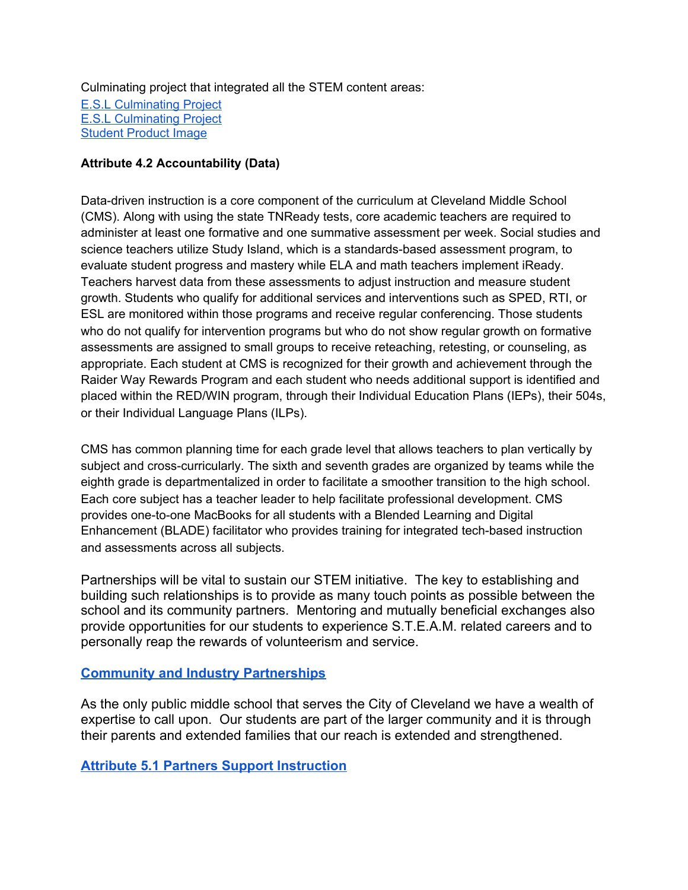Culminating project that integrated all the STEM content areas:

E.S.L [Culminating](https://2212251b-a6fc-4dbb-88de-94bcbd27cb94.filesusr.com/ugd/2b7659_90dec13975344d7b97613eaa81b83307.pdf) Project E.S.L [Culminating](https://2212251b-a6fc-4dbb-88de-94bcbd27cb94.filesusr.com/ugd/2b7659_f407967093d1444092b6319a03c40d61.pdf) Project [Student](https://www.cmssteam.com/achievement) Product Image

# **Attribute 4.2 Accountability (Data)**

Data-driven instruction is a core component of the curriculum at Cleveland Middle School (CMS). Along with using the state TNReady tests, core academic teachers are required to administer at least one formative and one summative assessment per week. Social studies and science teachers utilize Study Island, which is a standards-based assessment program, to evaluate student progress and mastery while ELA and math teachers implement iReady. Teachers harvest data from these assessments to adjust instruction and measure student growth. Students who qualify for additional services and interventions such as SPED, RTI, or ESL are monitored within those programs and receive regular conferencing. Those students who do not qualify for intervention programs but who do not show regular growth on formative assessments are assigned to small groups to receive reteaching, retesting, or counseling, as appropriate. Each student at CMS is recognized for their growth and achievement through the Raider Way Rewards Program and each student who needs additional support is identified and placed within the RED/WIN program, through their Individual Education Plans (IEPs), their 504s, or their Individual Language Plans (ILPs).

CMS has common planning time for each grade level that allows teachers to plan vertically by subject and cross-curricularly. The sixth and seventh grades are organized by teams while the eighth grade is departmentalized in order to facilitate a smoother transition to the high school. Each core subject has a teacher leader to help facilitate professional development. CMS provides one-to-one MacBooks for all students with a Blended Learning and Digital Enhancement (BLADE) facilitator who provides training for integrated tech-based instruction and assessments across all subjects.

Partnerships will be vital to sustain our STEM initiative. The key to establishing and building such relationships is to provide as many touch points as possible between the school and its community partners. Mentoring and mutually beneficial exchanges also provide opportunities for our students to experience S.T.E.A.M. related careers and to personally reap the rewards of volunteerism and service.

# **[Community and Industry Partnerships](https://www.cmssteam.com/community-partnerships)**

As the only public middle school that serves the City of Cleveland we have a wealth of expertise to call upon. Our students are part of the larger community and it is through their parents and extended families that our reach is extended and strengthened.

**[Attribute 5.1 Partners Support Instruction](https://www.cmssteam.com/community-partnerships)**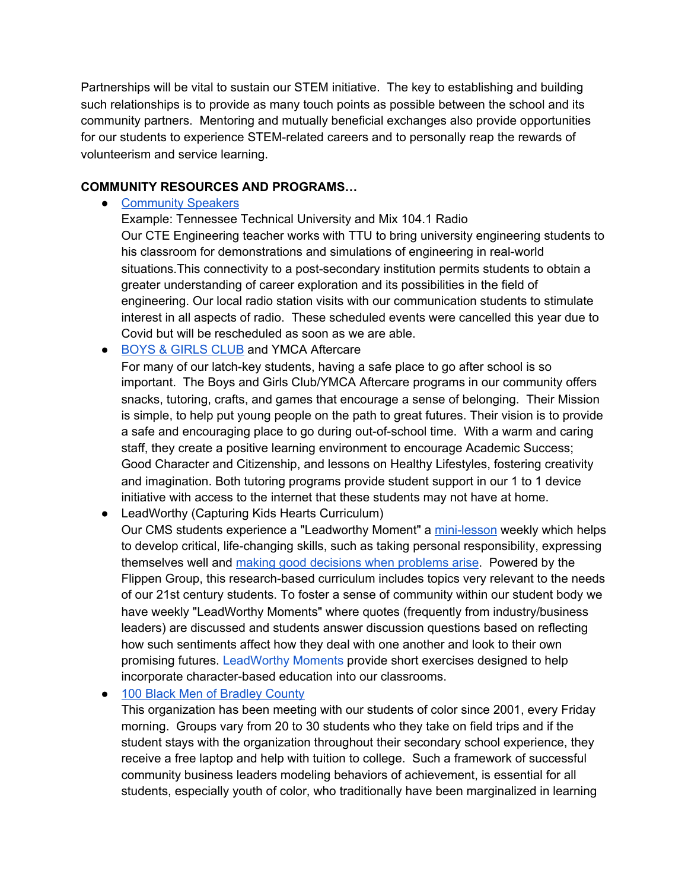Partnerships will be vital to sustain our STEM initiative. The key to establishing and building such relationships is to provide as many touch points as possible between the school and its community partners. Mentoring and mutually beneficial exchanges also provide opportunities for our students to experience STEM-related careers and to personally reap the rewards of volunteerism and service learning.

### **COMMUNITY RESOURCES AND PROGRAMS…**

• [Community](https://www.cmssteam.com/community-partnerships?pgid=kky8c9ng-ce9675c6-63d2-418b-9987-62a1464283a4) Speakers

Example: Tennessee Technical University and Mix 104.1 Radio Our CTE Engineering teacher works with TTU to bring university engineering students to his classroom for demonstrations and simulations of engineering in real-world situations.This connectivity to a post-secondary institution permits students to obtain a greater understanding of career exploration and its possibilities in the field of engineering. Our local radio station visits with our communication students to stimulate interest in all aspects of radio. These scheduled events were cancelled this year due to Covid but will be rescheduled as soon as we are able.

● BOYS & [GIRLS](https://bgcocoee.org/) CLUB and YMCA Aftercare

For many of our latch-key students, having a safe place to go after school is so important. The Boys and Girls Club/YMCA Aftercare programs in our community offers snacks, tutoring, crafts, and games that encourage a sense of belonging. Their Mission is simple, to help put young people on the path to great futures. Their vision is to provide a safe and encouraging place to go during out-of-school time. With a warm and caring staff, they create a positive learning environment to encourage Academic Success; Good Character and Citizenship, and lessons on Healthy Lifestyles, fostering creativity and imagination. Both tutoring programs provide student support in our 1 to 1 device initiative with access to the internet that these students may not have at home.

● LeadWorthy (Capturing Kids Hearts Curriculum)

Our CMS students experience a "Leadworthy Moment" a [mini-lesson](https://2212251b-a6fc-4dbb-88de-94bcbd27cb94.filesusr.com/ugd/2b7659_697b5417f773465d83960bda9225bcf5.pdf) weekly which helps to develop critical, life-changing skills, such as taking personal responsibility, expressing themselves well and making good [decisions](https://2212251b-a6fc-4dbb-88de-94bcbd27cb94.filesusr.com/ugd/2b7659_8503411c324c4955b86ab63fbe137c08.pdf) when problems arise. Powered by the Flippen Group, this research-based curriculum includes topics very relevant to the needs of our 21st century students. To foster a sense of community within our student body we have weekly "LeadWorthy Moments" where quotes (frequently from industry/business leaders) are discussed and students answer discussion questions based on reflecting how such sentiments affect how they deal with one another and look to their own promising futures. [LeadWorthy](https://drive.google.com/drive/u/0/folders/0AHj4pV9R1RGmUk9PVA) Moments provide short exercises designed to help incorporate character-based education into our classrooms.

● 100 Black Men of [Bradley](http://www.100bmbc.org/) County

This organization has been meeting with our students of color since 2001, every Friday morning. Groups vary from 20 to 30 students who they take on field trips and if the student stays with the organization throughout their secondary school experience, they receive a free laptop and help with tuition to college. Such a framework of successful community business leaders modeling behaviors of achievement, is essential for all students, especially youth of color, who traditionally have been marginalized in learning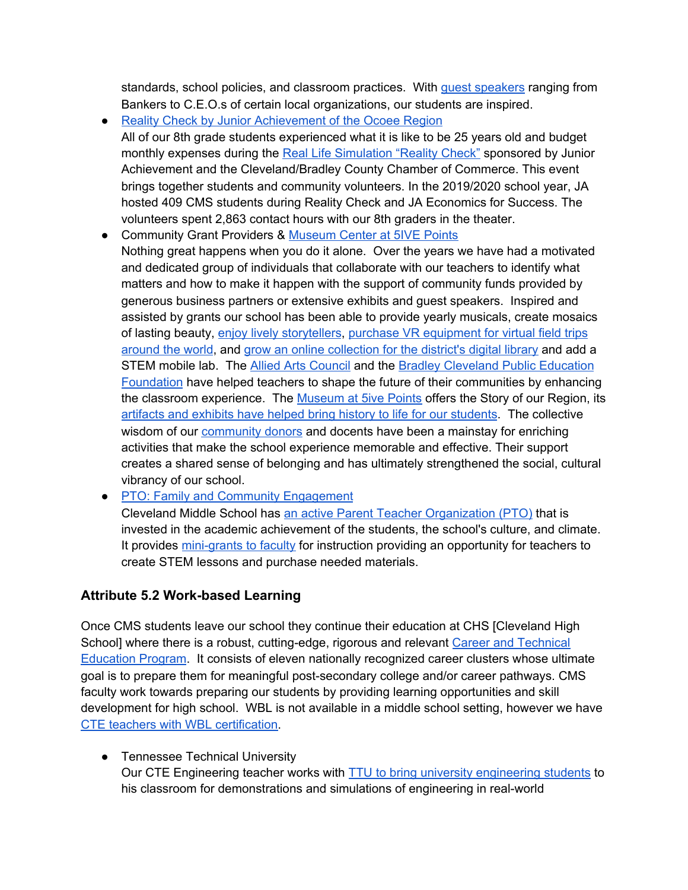standards, school policies, and classroom practices. With guest [speakers](https://www.cmssteam.com/community-partnerships?pgid=kk4gostt-c325106e-a133-4492-9102-41992a911aa1) ranging from Bankers to C.E.O.s of certain local organizations, our students are inspired.

- Reality Check by Junior [Achievement](https://ocoeeregion.ja.org/index) of the Ocoee Region All of our 8th grade students experienced what it is like to be 25 years old and budget monthly expenses during the Real Life [Simulation](https://www.cmssteam.com/community-partnerships?pgid=kk8md8en-2944fc9b-bf85-4d17-8fec-a75398b17ff4) "Reality Check" sponsored by Junior Achievement and the Cleveland/Bradley County Chamber of Commerce. This event brings together students and community volunteers. In the 2019/2020 school year, JA hosted 409 CMS students during Reality Check and JA Economics for Success. The volunteers spent 2,863 contact hours with our 8th graders in the theater.
- Community Grant Providers & [Museum](https://visitclevelandtn.com/things-to-see-and-do/business-directory/2084/museum-center-at-5ive-points/) Center at 5IVE Points Nothing great happens when you do it alone. Over the years we have had a motivated and dedicated group of individuals that collaborate with our teachers to identify what matters and how to make it happen with the support of community funds provided by generous business partners or extensive exhibits and guest speakers. Inspired and assisted by grants our school has been able to provide yearly musicals, create mosaics of lasting beauty, enjoy lively [storytellers](https://2212251b-a6fc-4dbb-88de-94bcbd27cb94.filesusr.com/ugd/2b7659_430be90f652b405d9f7589357c832c24.pdf), purchase VR [equipment](https://2212251b-a6fc-4dbb-88de-94bcbd27cb94.filesusr.com/ugd/2b7659_be889fd6393946da9eb0e0adffe6a7fd.pdf) for virtual field trips [around](https://2212251b-a6fc-4dbb-88de-94bcbd27cb94.filesusr.com/ugd/2b7659_be889fd6393946da9eb0e0adffe6a7fd.pdf) the world, and grow an online [collection](https://2212251b-a6fc-4dbb-88de-94bcbd27cb94.filesusr.com/ugd/2b7659_6d45749805dd4b5d8fb64077e17fd829.pdf) for the district's digital library and add a STEM mobile lab. The Allied Arts [Council](https://clevelandchamber.com/the-allied-arts-council/) and the Bradley Cleveland Public [Education](https://bcpef.org/) [Foundation](https://bcpef.org/) have helped teachers to shape the future of their communities by enhancing the classroom experience. The [Museum](http://www.museumcenter.org/) at 5ive Points offers the Story of our Region, its artifacts and exhibits have helped bring history to life for our [students](https://2212251b-a6fc-4dbb-88de-94bcbd27cb94.filesusr.com/ugd/2b7659_79d15ae756a1406aba1de5f575e6d3bf.pdf). The collective wisdom of our [community](https://www.cmssteam.com/community-partnerships?pgid=kkpxxgvn-ed69aa2e-bc74-4dc2-88f5-4f833030b304) donors and docents have been a mainstay for enriching activities that make the school experience memorable and effective. Their support creates a shared sense of belonging and has ultimately strengthened the social, cultural vibrancy of our school.
- PTO: Family and Community [Engagement](https://2212251b-a6fc-4dbb-88de-94bcbd27cb94.filesusr.com/ugd/2b7659_b2bfdee360644bbdbc18084b8bc2605e.pdf)

Cleveland Middle School has an active Parent Teacher [Organization](https://2212251b-a6fc-4dbb-88de-94bcbd27cb94.filesusr.com/ugd/2b7659_d25c2b4c75774907a53431d1079bb4aa.pdf) (PTO) that is invested in the academic achievement of the students, the school's culture, and climate. It provides [mini-grants](https://2212251b-a6fc-4dbb-88de-94bcbd27cb94.filesusr.com/ugd/2b7659_876531168ad04bc8880fd4b83ddeb5b1.pdf) to faculty for instruction providing an opportunity for teachers to create STEM lessons and purchase needed materials.

# **Attribute 5.2 Work-based Learning**

Once CMS students leave our school they continue their education at CHS [Cleveland High School] where there is a robust, cutting-edge, rigorous and relevant Career and [Technical](https://www.clevelandschools.org/o/district/page/department-info--5) [Education](https://www.clevelandschools.org/o/district/page/department-info--5) Program. It consists of eleven nationally recognized career clusters whose ultimate goal is to prepare them for meaningful post-secondary college and/or career pathways. CMS faculty work towards preparing our students by providing learning opportunities and skill development for high school. WBL is not available in a middle school setting, however we have CTE teachers with WBL [certification.](https://www.clevelandschools.org/o/district/page/department-info--5)

● Tennessee Technical University Our CTE Engineering teacher works with **TTU** to bring university [engineering](https://www.cmssteam.com/copy-of-lucy-writing-program-s-t?pgid=kk6x5qr3-1a8866fe-8610-4d9e-8fed-32a451a33693) students to his classroom for demonstrations and simulations of engineering in real-world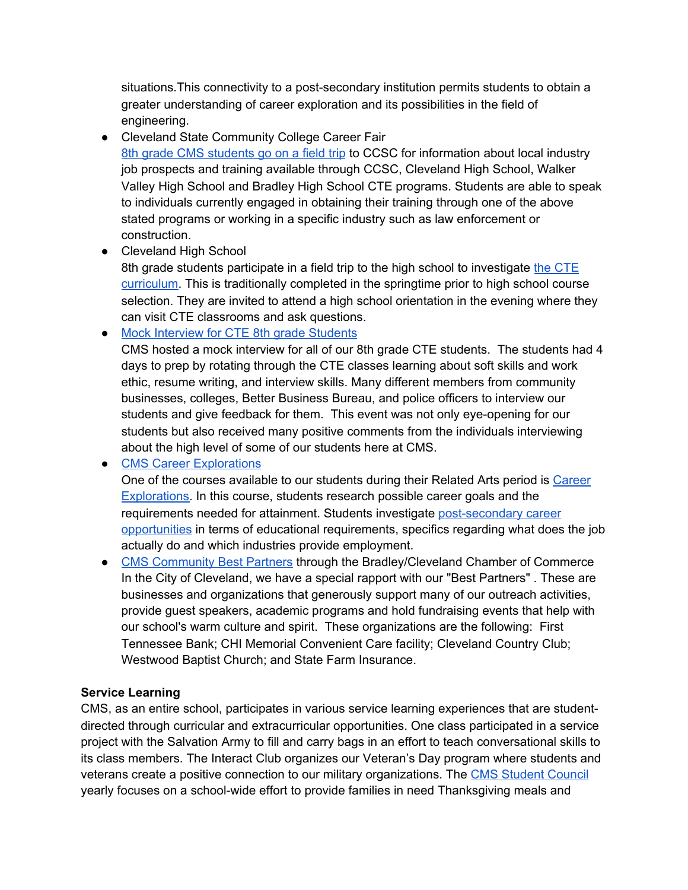situations.This connectivity to a post-secondary institution permits students to obtain a greater understanding of career exploration and its possibilities in the field of engineering.

- Cleveland State Community College Career Fair 8th grade CMS [students](https://www.cmssteam.com/community-partnerships?pgid=kkncdd9g-465c469e-555d-4de0-bb48-d5616ef34204) go on a field trip to CCSC for information about local industry job prospects and training available through CCSC, Cleveland High School, Walker Valley High School and Bradley High School CTE programs. Students are able to speak to individuals currently engaged in obtaining their training through one of the above stated programs or working in a specific industry such as law enforcement or construction.
- Cleveland High School

8th grade students participate in a field trip to the high school to investigate the [CTE](https://www.flipsnack.com/clevelandcte/cleveland-city-schools-career-and-technical-education.html) [curriculum.](https://www.flipsnack.com/clevelandcte/cleveland-city-schools-career-and-technical-education.html) This is traditionally completed in the springtime prior to high school course selection. They are invited to attend a high school orientation in the evening where they can visit CTE classrooms and ask questions.

• Mock [Interview](https://www.cmssteam.com/community-partnerships?pgid=kkh9wk39-bd3947a9-f19f-496d-9b9b-87701a1918ad) for CTE 8th grade Students

CMS hosted a mock interview for all of our 8th grade CTE students. The students had 4 days to prep by rotating through the CTE classes learning about soft skills and work ethic, resume writing, and interview skills. Many different members from community businesses, colleges, Better Business Bureau, and police officers to interview our students and give feedback for them. This event was not only eye-opening for our students but also received many positive comments from the individuals interviewing about the high level of some of our students here at CMS.

• CMS Career [Explorations](https://www.cmssteam.com/copy-of-4-c-s-summer-academic-camp-1)

One of the courses available to our students during their Related Arts period is [Career](https://2212251b-a6fc-4dbb-88de-94bcbd27cb94.filesusr.com/ugd/2b7659_9b74c3e011c5401dbe7fd425c07c28c6.pdf) [Explorations.](https://2212251b-a6fc-4dbb-88de-94bcbd27cb94.filesusr.com/ugd/2b7659_9b74c3e011c5401dbe7fd425c07c28c6.pdf) In this course, students research possible career goals and the requirements needed for attainment. Students investigate [post-secondary](https://www.cmssteam.com/copy-of-4-c-s-summer-academic-camp-1?pgid=kkmwdla5-4da6dfd4-4b6b-4d10-9ceb-094a58b65224) career [opportunities](https://www.cmssteam.com/copy-of-4-c-s-summer-academic-camp-1?pgid=kkmwdla5-4da6dfd4-4b6b-4d10-9ceb-094a58b65224) in terms of educational requirements, specifics regarding what does the job actually do and which industries provide employment.

● CMS [Community](https://www.cmssteam.com/community-partnerships?pgid=kkbz1oem-af498157-1ce8-411a-af18-b38f1326a93d) Best Partners through the Bradley/Cleveland Chamber of Commerce In the City of Cleveland, we have a special rapport with our "Best Partners" . These are businesses and organizations that generously support many of our outreach activities, provide guest speakers, academic programs and hold fundraising events that help with our school's warm culture and spirit. These organizations are the following: First Tennessee Bank; CHI Memorial Convenient Care facility; Cleveland Country Club; Westwood Baptist Church; and State Farm Insurance.

# **Service Learning**

CMS, as an entire school, participates in various service learning experiences that are studentdirected through curricular and extracurricular opportunities. One class participated in a service project with the Salvation Army to fill and carry bags in an effort to teach conversational skills to its class members. The Interact Club organizes our Veteran's Day program where students and veterans create a positive connection to our military organizations. The CMS [Student](https://www.cmssteam.com/copy-of-beta-club-student-council) Council yearly focuses on a school-wide effort to provide families in need Thanksgiving meals and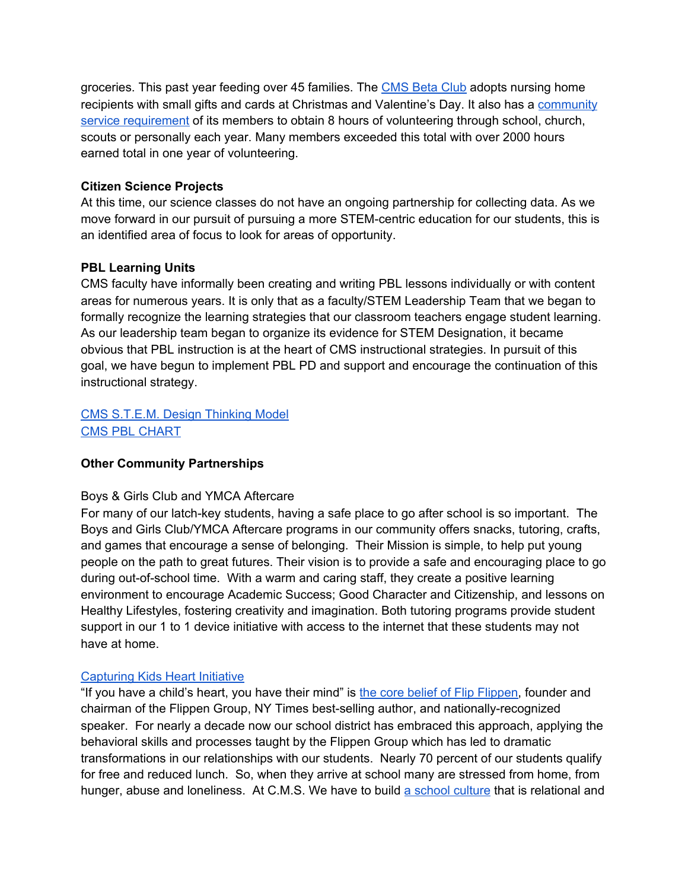groceries. This past year feeding over 45 families. The [CMS](https://www.cmssteam.com/copy-of-lucy-writing-program) Beta Club adopts nursing home recipients with small gifts and cards at Christmas and Valentine's Day. It also has a [community](https://www.cmssteam.com/copy-of-lucy-writing-program?pgid=kk1yenis-3478bf39-3b0f-43c5-8c14-d6cbc1995c9e) service [requirement](https://www.cmssteam.com/copy-of-lucy-writing-program?pgid=kk1yenis-3478bf39-3b0f-43c5-8c14-d6cbc1995c9e) of its members to obtain 8 hours of volunteering through school, church, scouts or personally each year. Many members exceeded this total with over 2000 hours earned total in one year of volunteering.

### **Citizen Science Projects**

At this time, our science classes do not have an ongoing partnership for collecting data. As we move forward in our pursuit of pursuing a more STEM-centric education for our students, this is an identified area of focus to look for areas of opportunity.

### **PBL Learning Units**

CMS faculty have informally been creating and writing PBL lessons individually or with content areas for numerous years. It is only that as a faculty/STEM Leadership Team that we began to formally recognize the learning strategies that our classroom teachers engage student learning. As our leadership team began to organize its evidence for STEM Designation, it became obvious that PBL instruction is at the heart of CMS instructional strategies. In pursuit of this goal, we have begun to implement PBL PD and support and encourage the continuation of this instructional strategy.

# CMS [S.T.E.M.](https://www.cmssteam.com/cms-s-t-e-a-m-design-model) Design Thinking Model CMS PBL [CHART](https://docs.google.com/document/d/12voVRDJZhN9T6F3J9DvrazqZP4pnQ2qZndTRQnc3FJU/edit)

# **Other Community Partnerships**

#### Boys & Girls Club and YMCA Aftercare

For many of our latch-key students, having a safe place to go after school is so important. The Boys and Girls Club/YMCA Aftercare programs in our community offers snacks, tutoring, crafts, and games that encourage a sense of belonging. Their Mission is simple, to help put young people on the path to great futures. Their vision is to provide a safe and encouraging place to go during out-of-school time. With a warm and caring staff, they create a positive learning environment to encourage Academic Success; Good Character and Citizenship, and lessons on Healthy Lifestyles, fostering creativity and imagination. Both tutoring programs provide student support in our 1 to 1 device initiative with access to the internet that these students may not have at home.

#### [Capturing](https://2212251b-a6fc-4dbb-88de-94bcbd27cb94.filesusr.com/ugd/2b7659_e868e29c60ef4c9f8ed93bb10e9fe752.pdf) Kids Heart Initiative

"If you have a child's heart, you have their mind" is the core belief of Flip [Flippen](https://www.ckhfoundation.org/), founder and chairman of the Flippen Group, NY Times best-selling author, and nationally-recognized speaker. For nearly a decade now our school district has embraced this approach, applying the behavioral skills and processes taught by the Flippen Group which has led to dramatic transformations in our relationships with our students. Nearly 70 percent of our students qualify for free and reduced lunch. So, when they arrive at school many are stressed from home, from hunger, abuse and loneliness. At C.M.S. We have to build a school [culture](https://www.cmssteam.com/community-partnerships?pgid=kjyqh2es-52fcf7ad-f172-4157-8468-ce60f8f13a6e) that is relational and